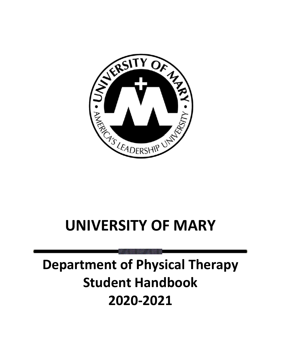

# **UNIVERSITY OF MARY**

# **Department of Physical Therapy Student Handbook 2020-2021**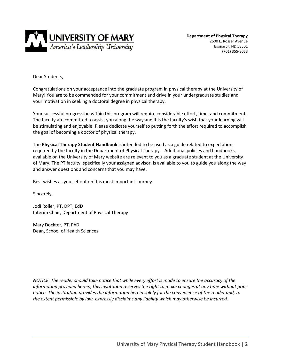

**Department of Physical Therapy** 2600 E. Rosser Avenue Bismarck, ND 58501 (701) 355-8053

Dear Students,

Congratulations on your acceptance into the graduate program in physical therapy at the University of Mary! You are to be commended for your commitment and drive in your undergraduate studies and your motivation in seeking a doctoral degree in physical therapy.

Your successful progression within this program will require considerable effort, time, and commitment. The faculty are committed to assist you along the way and it is the faculty's wish that your learning will be stimulating and enjoyable. Please dedicate yourself to putting forth the effort required to accomplish the goal of becoming a doctor of physical therapy.

The **Physical Therapy Student Handbook** is intended to be used as a guide related to expectations required by the faculty in the Department of Physical Therapy. Additional policies and handbooks, available on the University of Mary website are relevant to you as a graduate student at the University of Mary. The PT faculty, specifically your assigned advisor, is available to you to guide you along the way and answer questions and concerns that you may have.

Best wishes as you set out on this most important journey.

Sincerely,

Jodi Roller, PT, DPT, EdD Interim Chair, Department of Physical Therapy

Mary Dockter, PT, PhD Dean, School of Health Sciences

*NOTICE: The reader should take notice that while every effort is made to ensure the accuracy of the information provided herein, this institution reserves the right to make changes at any time without prior notice. The institution provides the information herein solely for the convenience of the reader and, to the extent permissible by law, expressly disclaims any liability which may otherwise be incurred.*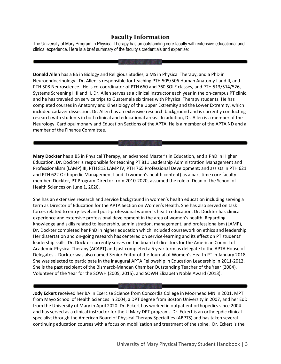# **Faculty Information**

The University of Mary Program in Physical Therapy has an outstanding core faculty with extensive educational and clinical experience. Here is a brief summary of the faculty's credentials and expertise:

**Donald Allen** has a BS in Biology and Religious Studies, a MS in Physical Therapy, and a PhD in Neuroendocrinology. Dr. Allen is responsible for teaching PTH 505/506 Human Anatomy I and II, and PTH 508 Neuroscience. He is co-coordinator of PTH 660 and 760 SOLE classes, and PTH 513/514/526, Systems Screening I, II and II. Dr. Allen serves as a clinical instructor each year in the on-campus PT clinic, and he has traveled on service trips to Guatemala six times with Physical Therapy students. He has completed courses in Anatomy and Kinesiology of the Upper Extremity and the Lower Extremity, which included cadaver dissection. Dr. Allen has an extensive research background and is currently conducting research with students in both clinical and educational areas. In addition, Dr. Allen is a member of the Neurology, Cardiopulmonary and Education Sections of the APTA. He is a member of the APTA ND and a member of the Finance Committee.

**Mary Dockter** has a BS in Physical Therapy, an advanced Master's in Education, and a PhD in Higher Education. Dr. Dockter is responsible for teaching PT 811 Leadership Administration Management and Professionalism (LAMP) III, PTH 812 LAMP IV, PTH 765 Professional Development; and assists in PTH 621 and PTH 622 Orthopedic Management I and II (women's health content) as a part-time core faculty member. Dockter, PT Program Director from 2010-2020, assumed the role of Dean of the School of Health Sciences on June 1, 2020.

She has an extensive research and service background in women's health education including serving a term as Director of Education for the APTA Section on Women's Health. She has also served on task forces related to entry-level and post-professional women's health education. Dr. Dockter has clinical experience and extensive professional development in the area of women's health. Regarding knowledge and skills related to leadership, administration, management, and professionalism (LAMP), Dr. Dockter completed her PhD in higher education which included coursework on ethics and leadership. Her dissertation and on-going research has centered on service-learning and its effect on PT students' leadership skills. Dr. Dockter currently serves on the board of directors for the American Council of Academic Physical Therapy (ACAPT) and just completed a 5 year term as delegate to the APTA House of Delegates.. Dockter was also named Senior Editor of the Journal of Women's Health PT in January 2018. She was selected to participate in the inaugural APTA Fellowship in Education Leadership in 2011-2012. She is the past recipient of the Bismarck-Mandan Chamber Outstanding Teacher of the Year (2004), Volunteer of the Year for the SOWH (2005, 2015), and SOWH Elizabeth Noble Award (2013).

**Jody Eckert** received her BA in Exercise Science from Concordia College in Moorhead MN in 2001, MPT from Mayo School of Health Sciences in 2004, a DPT degree from Boston University in 2007, and her EdD from the University of Mary in April 2020. Dr. Eckert has worked in outpatient orthopedics since 2004 and has served as a clinical instructor for the U Mary DPT program. Dr. Eckert is an orthoepdic clinical specialist through the American Board of Physical Therapy Specialties (ABPTS) and has taken several continuing education courses with a focus on mobilization and treatment of the spine. Dr. Eckert is the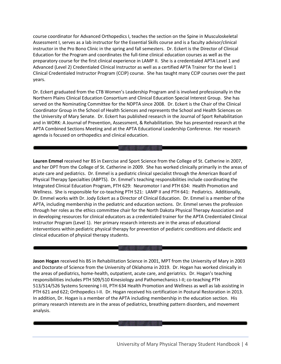course coordinator for Advanced Orthopedics I, teaches the section on the Spine in Musculoskeletal Assessment I, serves as a lab instructor for the Essential Skills course and is a faculty advisor/clinical instructor in the Pro Bono Clinic in the spring and fall semesters. Dr. Eckert is the Director of Clinical Education for the Program and coordinates the full-time clinical education courses as well as the preparatory course for the first clinical experience in LAMP II. She is a credentialed APTA Level 1 and Advanced (Level 2) Credentialed Clinical Instructor as well as a certified APTA Trainer for the level 1 Clinical Credentialed Instructor Program (CCIP) course. She has taught many CCIP courses over the past years.

Dr. Eckert graduated from the CTB Women's Leadership Program and is involved professionally in the Northern Plains Clinical Education Consortium and Clinical Education Special Interest Group. She has served on the Nominating Committee for the NDPTA since 2008. Dr. Eckert is the Chair of the Clinical Coordinator Group in the School of Health Sciences and represents the School and Health Sciences on the University of Mary Senate. Dr. Eckert has published research in the Journal of Sport Rehabilitation and in WORK: A Journal of Prevention, Assessment, & Rehabilitation. She has presented research at the APTA Combined Sections Meeting and at the APTA Educational Leadership Conference. Her research agenda is focused on orthopedics and clinical education.

**Lauren Emmel** received her BS in Exercise and Sport Science from the College of St. Catherine in 2007, and her DPT from the College of St. Catherine in 2009. She has worked clinically primarily in the areas of acute care and pediatrics. Dr. Emmel is a pediatric clinical specialist through the American Board of Physical Therapy Specialties (ABPTS). Dr. Emmel's teaching responsibilities include coordinating the Integrated Clinical Education Program, PTH 629: Neuromotor I and PTH 634: Health Promotion and Wellness. She is responsible for co-teaching PTH 521: LAMP II and PTH 641: Pediatrics. Additionally, Dr. Emmel works with Dr. Jody Eckert as a Director of Clinical Education. Dr. Emmel is a member of the APTA, including membership in the pediatric and education sections. Dr. Emmel serves the profession through her roles as the ethics committee chair for the North Dakota Physical Therapy Association and in developing resources for clinical educators as a credentialed trainer for the APTA Credentialed Clinical Instructor Program (Level 1). Her primary research interests are in the areas of educational interventions within pediatric physical therapy for prevention of pediatric conditions and didactic and clinical education of physical therapy students.

**Jason Hogan** received his BS in Rehabilitation Science in 2001, MPT from the University of Mary in 2003 and Doctorate of Science from the University of Oklahoma in 2019. Dr. Hogan has worked clinically in the areas of pediatrics, home-health, outpatient, acute care, and geriatrics. Dr. Hogan's teaching responsibilities includes PTH 509/510 Kinesiology and Pathomechanics I-II; co-teaching PTH 513/514/526 Systems Screening I-III, PTH 634 Health Promotion and Wellness as well as lab assisting in PTH 621 and 622; Orthopedics I-II. Dr. Hogan received his certification in Postural Restoration in 2013. In addition, Dr. Hogan is a member of the APTA including membership in the education section. His primary research interests are in the areas of pediatrics, breathing pattern disorders, and movement analysis.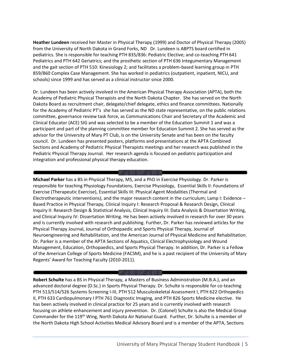**Heather Lundeen** received her Master in Physical Therapy (1999) and Doctor of Physical Therapy (2005) from the University of North Dakota in Grand Forks, ND Dr. Lundeen is ABPTS board certified in pediatrics. She is responsible for teaching PTH 835/836: Pediatric Elective; and co-teaching PTH 641 Pediatrics and PTH 642 Geriatrics; and the prosthetic section of PTH 636 Integumentary Management and the gait section of PTH 510: Kinesiology 2; and facilitates a problem-based learning group in PTH 859/860 Complex Case Management. She has worked in pediatrics (outpatient, inpatient, NICU, and schools) since 1999 and has served as a clinical instructor since 2000.

Dr. Lundeen has been actively involved in the American Physical Therapy Association (APTA), both the Academy of Pediatric Physical Therapists and the North Dakota Chapter. She has served on the North Dakota Board as recruitment chair, delegate/chief delegate, ethics and finance committees. Nationally for the Academy of Pediatric PT's she has served as the ND state representative, on the public relations committee, governance review task force, as Communications Chair and Secretary of the Academic and Clinical Educator (ACE) SIG and was selected to be a member of the Education Summit 1 and was a participant and part of the planning committee member for Education Summit 2. She has served as the advisor for the University of Mary PT Club, is on the University Senate and has been on the faculty council. Dr. Lundeen has presented posters, platforms and presentations at the APTA Combined Sections and Academy of Pediatric Physical Therapists meetings and her research was published in the Pediatric Physical Therapy Journal. Her research agenda is focused on pediatric participation and integration and professional physical therapy education.

**ANY DIALECTION CONSUMERS AND THE** 

**Michael Parker** has a BS in Physical Therapy, MS, and a PhD in Exercise Physiology. Dr. Parker is responsible for teaching Physiology Foundations, Exercise Physiology, Essential Skills II: Foundations of Exercise (Therapeutic Exercise), Essential Skills III: Physical Agent Modalities (Thermal and Electrotherapeutic interventions), and the major research content in the curriculum; Lamp I: Evidence – Based Practice in Physical Therapy, Clinical Inquiry I: Research Proposal & Research Design, Clinical Inquiry II: Research Design & Statistical Analysis, Clinical Inquiry III: Data Analysis & Dissertation Writing, and Clinical Inquiry IV: Dissertation Writing. He has been actively involved in research for over 30 years and is currently involved with research and publishing. Further, Dr. Parker has reviewed articles for the Physical Therapy Journal, Journal of Orthopaedic and Sports Physical Therapy, Journal of Neuroengineering and Rehabilitation, and the American Journal of Physical Medicine and Rehabilitation. Dr. Parker is a member of the APTA Sections of Aquatics, Clinical Electrophysiology and Wound Management, Education, Orthopaedics, and Sports Physical Therapy. In addition, Dr. Parker is a Fellow of the American College of Sports Medicine (FACSM), and he is a past recipient of the University of Mary Regents' Award for Teaching Faculty (2010-2011).

**Robert Schulte** has a BS in Physical Therapy, a Masters of Business Administration (M.B.A.), and an advanced doctoral degree (D.Sc.) in Sports Physical Therapy. Dr. Schulte is responsible for co-teaching PTH 513/514/526 Systems Screening I-III, PTH 512 Musculoskeletal Assessment I, PTH 622 Orthopedics II, PTH 633 Cardiopulmonary I PTH 761 Diagnostic Imaging, and PTH 826 Sports Medicine elective. He has been actively involved in clinical practice for 25 years and is currently involved with research focusing on athlete enhancement and injury prevention. Dr. (Colonel) Schulte is also the Medical Group Commander for the 119<sup>th</sup> Wing, North Dakota Air National Guard. Further, Dr. Schulte is a member of the North Dakota High School Activities Medical Advisory Board and is a member of the APTA, Sections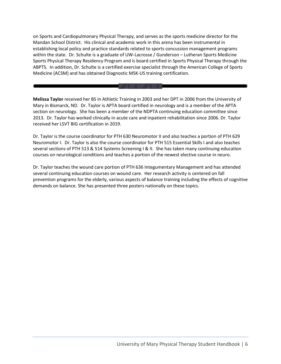on Sports and Cardiopulmonary Physical Therapy, and serves as the sports medicine director for the Mandan School District. His clinical and academic work in this arena has been instrumental in establishing local policy and practice standards related to sports concussion management programs within the state. Dr. Schulte is a graduate of UW-Lacrosse / Gunderson – Lutheran Sports Medicine Sports Physical Therapy Residency Program and is board certified in Sports Physical Therapy through the ABPTS. In addition, Dr. Schulte is a certified exercise specialist through the American College of Sports Medicine (ACSM) and has obtained Diagnostic MSK-US training certification.

**Melissa Taylor** received her BS in Athletic Training in 2003 and her DPT in 2006 from the University of Mary in Bismarck, ND. Dr. Taylor is APTA board certified in neurology and is a member of the APTA section on neurology. She has been a member of the NDPTA continuing education committee since 2013. Dr. Taylor has worked clinically in acute care and inpatient rehabilitation since 2006. Dr. Taylor received her LSVT BIG certification in 2019.

Dr. Taylor is the course coordinator for PTH 630 Neuromotor II and also teaches a portion of PTH 629 Neuromotor I. Dr. Taylor is also the course coordinator for PTH 515 Essential Skills I and also teaches several sections of PTH 513 & 514 Systems Screening I & II. She has taken many continuing education courses on neurological conditions and teaches a portion of the newest elective course in neuro.

Dr. Taylor teaches the wound care portion of PTH 636 Integumentary Management and has attended several continuing education courses on wound care. Her research activity is centered on fall prevention programs for the elderly, various aspects of balance training including the effects of cognitive demands on balance. She has presented three posters nationally on these topics.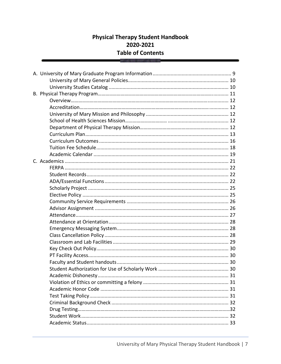# **Physical Therapy Student Handbook** 2020-2021 **Table of Contents**

THE BRIDGE THE TH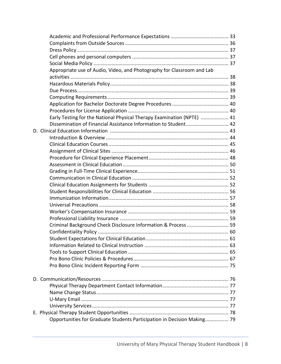| Appropriate use of Audio, Video, and Photography for Classroom and Lab  |  |
|-------------------------------------------------------------------------|--|
|                                                                         |  |
|                                                                         |  |
|                                                                         |  |
|                                                                         |  |
|                                                                         |  |
|                                                                         |  |
| Early Testing for the National Physical Therapy Examination (NPTE)  41  |  |
| Dissemination of Financial Assistance Information to Student 42         |  |
|                                                                         |  |
|                                                                         |  |
|                                                                         |  |
|                                                                         |  |
|                                                                         |  |
|                                                                         |  |
|                                                                         |  |
|                                                                         |  |
|                                                                         |  |
|                                                                         |  |
|                                                                         |  |
|                                                                         |  |
|                                                                         |  |
|                                                                         |  |
| Criminal Background Check Disclosure Information & Process  59          |  |
|                                                                         |  |
|                                                                         |  |
|                                                                         |  |
|                                                                         |  |
|                                                                         |  |
|                                                                         |  |
|                                                                         |  |
|                                                                         |  |
|                                                                         |  |
|                                                                         |  |
|                                                                         |  |
|                                                                         |  |
|                                                                         |  |
| Opportunities for Graduate Students Participation in Decision Making 79 |  |
|                                                                         |  |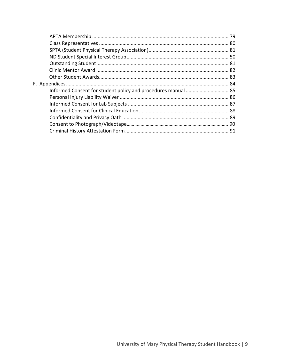| Informed Consent for student policy and procedures manual  85 |  |
|---------------------------------------------------------------|--|
|                                                               |  |
|                                                               |  |
|                                                               |  |
|                                                               |  |
|                                                               |  |
|                                                               |  |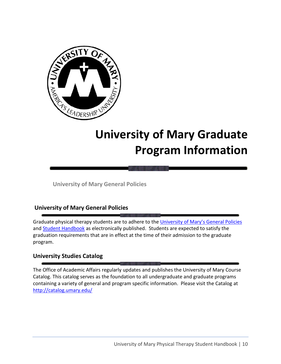

# **University of Mary Graduate Program Information**

**University of Mary General Policies**

# **University of Mary General Policies**

Graduate physical therapy students are to adhere to the [University of Mary](https://my.umary.edu/ICS/General_Policies.jnz)'s General Policies and [Student Handbook](https://www.umary.edu/_resources/pdfs/Student-Handbook-2018.pdf) as electronically published. Students are expected to satisfy the graduation requirements that are in effect at the time of their admission to the graduate program.

# **University Studies Catalog**

The Office of Academic Affairs regularly updates and publishes the University of Mary Course Catalog. This catalog serves as the foundation to all undergraduate and graduate programs containing a variety of general and program specific information. Please visit the Catalog at <http://catalog.umary.edu/>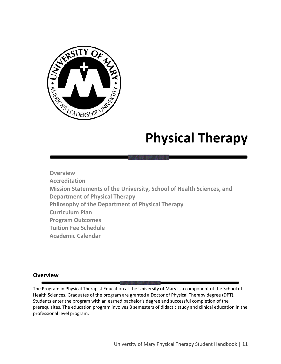

# **Physical Therapy**

**Overview Accreditation Mission Statements of the University, School of Health Sciences, and Department of Physical Therapy Philosophy of the Department of Physical Therapy Curriculum Plan Program Outcomes Tuition Fee Schedule Academic Calendar**

# **Overview**

The Program in Physical Therapist Education at the University of Mary is a component of the School of Health Sciences. Graduates of the program are granted a Doctor of Physical Therapy degree (DPT). Students enter the program with an earned bachelor's degree and successful completion of the prerequisites. The education program involves 8 semesters of didactic study and clinical education in the professional level program.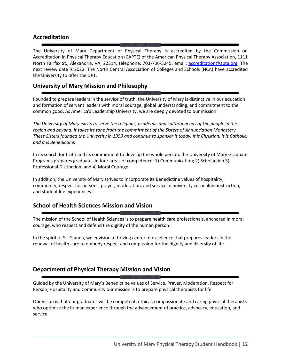# **Accreditation**

The University of Mary Department of Physical Therapy is accredited by the Commission on Accreditation in Physical Therapy Education (CAPTE) of the American Physical Therapy Association, 1111 North Fairfax St., Alexandria, VA, 22314; telephone: 703-706-3245; email: [accreditation@apta.org;](mailto:accreditation@apta.org) The next review date is 2022. The North Central Association of Colleges and Schools (NCA) have accredited the University to offer the DPT.

# **University of Mary Mission and Philosophy**

Founded to prepare leaders in the service of truth, the University of Mary is distinctive in our education and formation of servant leaders with moral courage, global understanding, and commitment to the common good. As America's Leadership University, we are deeply devoted to our mission:

*The University of Mary exists to serve the religious, academic and cultural needs of the people in this region and beyond. It takes its tone from the commitment of the Sisters of Annunciation Monastery. These Sisters founded the University in 1959 and continue to sponsor it today. It is Christian, it is Catholic, and it is Benedictine.*

In its search for truth and its commitment to develop the whole person, the University of Mary Graduate Programs prepares graduates in four areas of competence: 1) Communication; 2) Scholarship 3) Professional Distinction, and 4) Moral Courage.

In addition, the University of Mary strives to incorporate its Benedictine values of hospitality, community, respect for persons, prayer, moderation, and service in university curriculum instruction, and student life experiences.

# **School of Health Sciences Mission and Vision**

The mission of the School of Health Sciences is to prepare health care professionals, anchored in moral courage, who respect and defend the dignity of the human person.

In the spirit of St. Gianna, we envision a thriving center of excellence that prepares leaders in the renewal of health care to embody respect and compassion for the dignity and diversity of life.

# **Department of Physical Therapy Mission and Vision**

Guided by the University of Mary's Benedictine values of Service, Prayer, Moderation, Respect for Person, Hospitality and Community our mission is to prepare physical therapists for life.

Our vision is that our graduates will be competent, ethical, compassionate and caring physical therapists who optimize the human experience through the advancement of practice, advocacy, education, and service.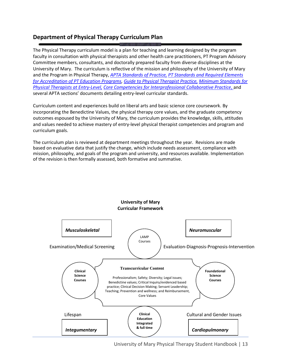# **Department of Physical Therapy Curriculum Plan**

The Physical Therapy curriculum model is a plan for teaching and learning designed by the program faculty in consultation with physical therapists and other health care practitioners, PT Program Advisory Committee members, consultants, and doctorally prepared faculty from diverse disciplines at the University of Mary. The curriculum is reflective of the mission and philosophy of the University of Mary and the Program in Physical Therapy, *[APTA Standards of Practice,](http://www.apta.org/uploadedFiles/APTAorg/About_Us/Policies/Practice/StandardsPractice.pdf#search=%22apta%20standards%20of%20practice%22) [PT Standards and Required Elements](http://www.capteonline.org/uploadedFiles/CAPTEorg/About_CAPTE/Resources/Accreditation_Handbook/CAPTE_PTStandardsEvidence.pdf)  [for Accreditation of PT Education Programs,](http://www.capteonline.org/uploadedFiles/CAPTEorg/About_CAPTE/Resources/Accreditation_Handbook/CAPTE_PTStandardsEvidence.pdf) [Guide to Physical Therapist Practice,](http://guidetoptpractice.apta.org/) [Minimum Standards for](http://www.apta.org/uploadedFiles/APTAorg/About_Us/Policies/BOD/Education/MinReqSkillsPTGrad.pdf)  [Physical Therapists at Entry-Level,](http://www.apta.org/uploadedFiles/APTAorg/About_Us/Policies/BOD/Education/MinReqSkillsPTGrad.pdf) [Core Competencies for Interprofessional Collaborative Practice](https://www.aacom.org/docs/default-source/insideome/ccrpt05-10-11.pdf?sfvrsn=77937f972)*, and several APTA sections' documents detailing entry-level curricular standards.

Curriculum content and experiences build on liberal arts and basic science core coursework. By incorporating the Benedictine Values, the physical therapy core values, and the graduate competency outcomes espoused by the University of Mary, the curriculum provides the knowledge, skills, attitudes and values needed to achieve mastery of entry-level physical therapist competencies and program and curriculum goals.

The curriculum plan is reviewed at department meetings throughout the year. Revisions are made based on evaluative data that justify the change, which include needs assessment, compliance with mission, philosophy, and goals of the program and university, and resources available. Implementation of the revision is then formally assessed, both formative and summative.

**University of Mary**



University of Mary Physical Therapy Student Handbook | 13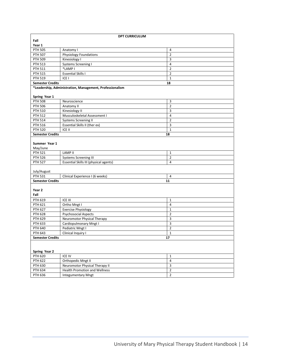| <b>DPT CURRICULUM</b>         |                                                          |                |  |  |
|-------------------------------|----------------------------------------------------------|----------------|--|--|
| Fall                          |                                                          |                |  |  |
| Year 1                        |                                                          |                |  |  |
| <b>PTH 505</b>                | Anatomy I                                                | 4              |  |  |
| <b>PTH 507</b>                | Physiology Foundations                                   | $\overline{2}$ |  |  |
| <b>PTH 509</b>                | Kinesiology I                                            | 3              |  |  |
| <b>PTH 513</b>                | <b>Systems Screening I</b>                               | 4              |  |  |
| <b>PTH 511</b>                | *LAMP I                                                  | $\overline{2}$ |  |  |
| <b>PTH 515</b>                | <b>Essential Skills I</b>                                | $\overline{2}$ |  |  |
| <b>PTH 519</b>                | ICE <sub>I</sub>                                         | $\mathbf{1}$   |  |  |
| <b>Semester Credits</b>       |                                                          | 18             |  |  |
|                               | *Leadership, Administration, Management, Professionalism |                |  |  |
|                               |                                                          |                |  |  |
| Spring Year 1                 |                                                          |                |  |  |
| <b>PTH 508</b>                | Neuroscience                                             | 3              |  |  |
| <b>PTH 506</b>                | Anatomy II                                               | $\overline{2}$ |  |  |
| <b>PTH 510</b>                | Kinesiology II                                           | 3              |  |  |
| <b>PTH 512</b>                | Musculoskeletal Assessment I                             | $\overline{4}$ |  |  |
| <b>PTH 514</b>                | <b>Systems Screening II</b>                              | $\overline{2}$ |  |  |
| <b>PTH 516</b>                | Essential Skills II (ther ex)                            | 3              |  |  |
| <b>PTH 520</b>                | ICE II                                                   | $\mathbf 1$    |  |  |
| <b>Semester Credits</b>       |                                                          | 18             |  |  |
|                               |                                                          |                |  |  |
| Summer Year 1                 |                                                          |                |  |  |
| May/June                      |                                                          |                |  |  |
| <b>PTH 521</b>                | <b>LAMP II</b>                                           | $\mathbf{1}$   |  |  |
| <b>PTH 526</b>                | <b>Systems Screening III</b>                             | $\overline{2}$ |  |  |
| <b>PTH 527</b>                |                                                          | 4              |  |  |
|                               | Essential Skills III (physical agents)                   |                |  |  |
| July/August                   |                                                          |                |  |  |
| <b>PTH 531</b>                | Clinical Experience I (6 weeks)                          | $\overline{4}$ |  |  |
| <b>Semester Credits</b>       |                                                          | 11             |  |  |
|                               |                                                          |                |  |  |
| Year 2                        |                                                          |                |  |  |
| Fall                          |                                                          |                |  |  |
| PTH 619                       | ICE III                                                  | $1\,$          |  |  |
| <b>PTH 621</b>                | Ortho Mngt I                                             | 4              |  |  |
| <b>PTH 627</b>                | <b>Exercise Physiology</b>                               | $\mathbf{1}$   |  |  |
| <b>PTH 628</b>                | <b>Psychosocial Aspects</b>                              | $\overline{2}$ |  |  |
| <b>PTH 629</b>                |                                                          | 3              |  |  |
|                               | Neuromotor Physical Therapy                              |                |  |  |
| PTH 633                       | Cardiopulmonary Mngt I                                   | 3              |  |  |
| <b>PTH 640</b>                | Pediatric Mngt I                                         | $\overline{2}$ |  |  |
| PTH 643                       | Clinical Inquiry I                                       | $\mathbf{1}$   |  |  |
| <b>Semester Credits</b><br>17 |                                                          |                |  |  |
|                               |                                                          |                |  |  |
|                               |                                                          |                |  |  |
| Spring Year 2                 |                                                          |                |  |  |
| <b>PTH 620</b>                | ICE IV                                                   | $\mathbf{1}$   |  |  |
| <b>PTH 622</b>                | Orthopedic Mngt II                                       | 4              |  |  |
| PTH 630                       | Neuromotor Physical Therapy II                           | $\mathsf 3$    |  |  |
| PTH 634                       | <b>Health Promotion and Wellness</b>                     | $\overline{2}$ |  |  |
| PTH 636                       | <b>Integumentary Mngt</b>                                | $\overline{2}$ |  |  |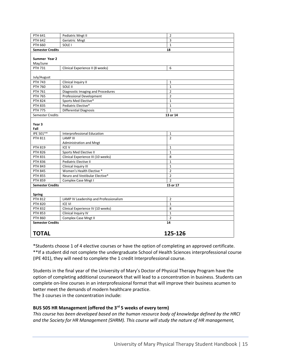| PTH 641                   | Pediatric Mngt II                        | $\overline{2}$ |  |
|---------------------------|------------------------------------------|----------------|--|
| <b>PTH 642</b>            | Geriatric Mngt                           | 3              |  |
| <b>PTH 660</b>            | SOLE <sub>I</sub>                        | $\mathbf{1}$   |  |
| <b>Semester Credits</b>   |                                          | 18             |  |
|                           |                                          |                |  |
| Summer Year 2             |                                          |                |  |
| May/June                  |                                          |                |  |
| PTH 731                   | Clinical Experience II (8 weeks)         | 6              |  |
| July/August               |                                          |                |  |
| <b>PTH 743</b>            | Clinical Inquiry II                      | $\mathbf{1}$   |  |
| <b>PTH 760</b>            | SOLE II                                  | $\mathbf{1}$   |  |
| PTH 761                   | <b>Diagnostic Imaging and Procedures</b> | $\overline{2}$ |  |
| <b>PTH 765</b>            | <b>Professional Development</b>          | $\overline{2}$ |  |
| <b>PTH 824</b>            | Sports Med Elective*                     | $\mathbf{1}$   |  |
| <b>PTH 835</b>            | Pediatric Elective*                      | $\mathbf{1}$   |  |
| <b>PTH 775</b>            | <b>Differential Diagnosis</b>            | $\mathbf{1}$   |  |
| <b>Semester Credits</b>   |                                          | 13 or 14       |  |
| Year <sub>3</sub><br>Fall |                                          |                |  |
| IPE 501**                 | Interprofessional Education              | $\mathbf 1$    |  |
| <b>PTH 811</b>            | <b>LAMP III</b>                          | $\overline{2}$ |  |
|                           | Administration and Mngt                  |                |  |
| <b>PTH 819</b>            | ICE V                                    | $\mathbf 1$    |  |
| <b>PTH 826</b>            | Sports Med Elective II                   | $\mathbf{1}$   |  |
| <b>PTH 831</b>            | Clinical Experience III (10 weeks)       | 8              |  |
| <b>PTH 836</b>            | Pediatric Elective II                    | $\mathbf{1}$   |  |
| <b>PTH 843</b>            | Clinical Inquiry III                     | $\mathbf{1}$   |  |
| <b>PTH 845</b>            | Women's Health Elective *                | $\overline{2}$ |  |
| <b>PTH 855</b>            | Neuro and Vestibular Elective*           | $\overline{2}$ |  |
| <b>PTH 859</b>            | Complex Case Mngt I                      | $\overline{2}$ |  |
| <b>Semester Credits</b>   |                                          | 15 or 17       |  |
| <b>Spring</b>             |                                          |                |  |
| <b>PTH 812</b>            | LAMP IV Leadership and Professionalism   | $\overline{2}$ |  |
| <b>PTH 820</b>            | <b>ICE VI</b>                            | $\mathbf{1}$   |  |
| <b>PTH 832</b>            | Clinical Experience IV (10 weeks)        | 8              |  |
| <b>PTH 853</b>            | Clinical Inquiry IV                      | $\mathbf{1}$   |  |
| <b>PTH 860</b>            | Complex Case Mngt II                     | $\overline{2}$ |  |
| <b>Semester Credits</b>   |                                          | 14             |  |
| <b>TOTAL</b>              |                                          | 125-126        |  |

\*Students choose 1 of 4 elective courses or have the option of completing an approved certificate. \*\*If a student did not complete the undergraduate School of Health Sciences interprofessional course (IPE 401), they will need to complete the 1 credit Interprofessional course.

Students in the final year of the University of Mary's Doctor of Physical Therapy Program have the option of completing additional coursework that will lead to a concentration in business. Students can complete on-line courses in an interprofessional format that will improve their business acumen to better meet the demands of modern healthcare practice. The 3 courses in the concentration include:

**BUS 505 HR Management (offered the 3rd 5 weeks of every term)**

*This course has been developed based on the human resource body of knowledge defined by the HRCI and the Society for HR Management (SHRM). This course will study the nature of HR management,*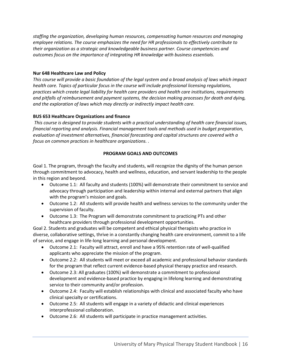*staffing the organization, developing human resources, compensating human resources and managing employee relations. The course emphasizes the need for HR professionals to effectively contribute to their organization as a strategic and knowledgeable business partner. Course competencies and outcomes focus on the importance of integrating HR knowledge with business essentials.* 

## **Nur 648 Healthcare Law and Policy**

*This course will provide a basic foundation of the legal system and a broad analysis of laws which impact health care. Topics of particular focus in the course will include professional licensing regulations, practices which create legal liability for health care providers and health care institutions, requirements and pitfalls of reimbursement and payment systems, the decision making processes for death and dying, and the exploration of laws which may directly or indirectly impact health care.*

## **BUS 653 Healthcare Organizations and finance**

*This course is designed to provide students with a practical understanding of health care financial issues, financial reporting and analysis. Financial management tools and methods used in budget preparation, evaluation of investment alternatives, financial forecasting and capital structures are covered with a focus on common practices in healthcare organizations. .*

#### **PROGRAM GOALS AND OUTCOMES**

Goal 1. The program, through the faculty and students, will recognize the dignity of the human person through commitment to advocacy, health and wellness, education, and servant leadership to the people in this region and beyond.

- Outcome 1.1: All faculty and students (100%) will demonstrate their commitment to service and advocacy through participation and leadership within internal and external partners that align with the program's mission and goals.
- Outcome 1.2: All students will provide health and wellness services to the community under the supervision of faculty.
- Outcome 1.3: The Program will demonstrate commitment to practicing PTs and other healthcare providers through professional development opportunities.

Goal 2. Students and graduates will be competent and ethical physical therapists who practice in diverse, collaborative settings, thrive in a constantly changing health care environment, commit to a life of service, and engage in life-long learning and personal development.

- Outcome 2.1: Faculty will attract, enroll and have a 95% retention rate of well-qualified applicants who appreciate the mission of the program.
- Outcome 2.2: All students will meet or exceed all academic and professional behavior standards for the program that reflect current evidence-based physical therapy practice and research.
- Outcome 2.3: All graduates (100%) will demonstrate a commitment to professional development and evidence-based practice by engaging in lifelong learning and demonstrating service to their community and/or profession.
- Outcome 2.4: Faculty will establish relationships with clinical and associated faculty who have clinical specialty or certifications.
- Outcome 2.5: All students will engage in a variety of didactic and clinical experiences interprofessional collaboration.
- Outcome 2.6: All students will participate in practice management activities.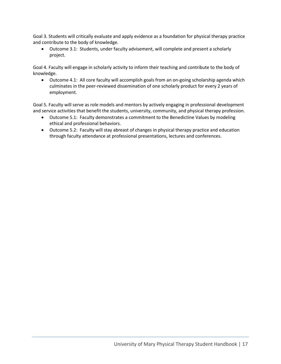Goal 3. Students will critically evaluate and apply evidence as a foundation for physical therapy practice and contribute to the body of knowledge.

• Outcome 3.1: Students, under faculty advisement, will complete and present a scholarly project.

Goal 4. Faculty will engage in scholarly activity to inform their teaching and contribute to the body of knowledge.

• Outcome 4.1: All core faculty will accomplish goals from an on-going scholarship agenda which culminates in the peer-reviewed dissemination of one scholarly product for every 2 years of employment.

Goal 5. Faculty will serve as role models and mentors by actively engaging in professional development and service activities that benefit the students, university, community, and physical therapy profession.

- Outcome 5.1: Faculty demonstrates a commitment to the Benedictine Values by modeling ethical and professional behaviors.
- Outcome 5.2: Faculty will stay abreast of changes in physical therapy practice and education through faculty attendance at professional presentations, lectures and conferences.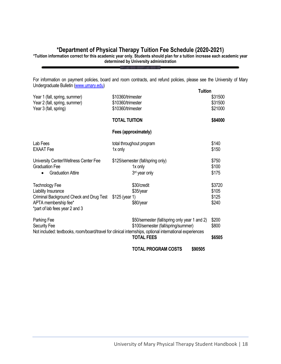# **\*Department of Physical Therapy Tuition Fee Schedule (2020-2021)**

**\*Tuition information correct for this academic year only. Students should plan for a tuition increase each academic year determined by University administration**

For information on payment policies, board and room contracts, and refund policies, please see the University of Mary Undergraduate Bulletin [\(www.umary.edu\)](http://www.umary.edu/) **Tuition**

|                                                                                                         |                      |                                               | Tuition |         |
|---------------------------------------------------------------------------------------------------------|----------------------|-----------------------------------------------|---------|---------|
| Year 1 (fall, spring, summer)                                                                           | \$10360/trimester    |                                               |         | \$31500 |
| Year 2 (fall, spring, summer)                                                                           | \$10360/trimester    |                                               |         | \$31500 |
| Year 3 (fall, spring)                                                                                   | \$10360/trimester    |                                               |         | \$21000 |
|                                                                                                         | <b>TOTAL TUITION</b> |                                               |         | \$84000 |
|                                                                                                         |                      | Fees (approximately)                          |         |         |
| Lab Fees                                                                                                |                      | total throughout program                      |         | \$140   |
| <b>EXAAT</b> Fee                                                                                        | 1x only              |                                               |         | \$150   |
|                                                                                                         |                      |                                               |         |         |
| University Center/Wellness Center Fee                                                                   |                      | \$125/semester (fall/spring only)             |         | \$750   |
| <b>Graduation Fee</b>                                                                                   |                      | 1x only                                       |         | \$100   |
| <b>Graduation Attire</b>                                                                                |                      | 3rd year only                                 |         | \$175   |
| <b>Technology Fee</b>                                                                                   |                      | \$30/credit                                   |         | \$3720  |
| Liability Insurance                                                                                     |                      | \$35/year                                     |         | \$105   |
| Criminal Background Check and Drug Test \$125 (year 1)                                                  |                      |                                               |         | \$125   |
| APTA membership fee*                                                                                    |                      | \$80/year                                     |         | \$240   |
| *part of lab fees year 2 and 3                                                                          |                      |                                               |         |         |
| Parking Fee                                                                                             |                      | \$50/semester (fall/spring only year 1 and 2) |         | \$200   |
| <b>Security Fee</b>                                                                                     |                      | \$100/semester (fall/spring/summer)           |         | \$800   |
| Not included: textbooks, room/board/travel for clinical internships, optional international experiences |                      |                                               |         |         |
|                                                                                                         |                      | <b>TOTAL FEES</b>                             |         | \$6505  |
|                                                                                                         |                      | <b>TOTAL PROGRAM COSTS</b>                    | \$90505 |         |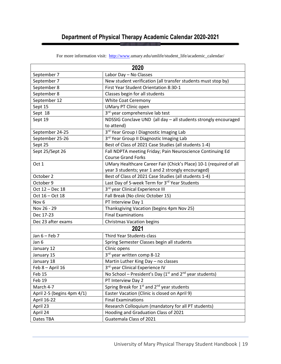# **Department of Physical Therapy Academic Calendar 2020-2021**

| 2020                                                                        |                                                                               |  |  |
|-----------------------------------------------------------------------------|-------------------------------------------------------------------------------|--|--|
| September 7                                                                 | Labor Day - No Classes                                                        |  |  |
| September 7                                                                 | New student verification (all transfer students must stop by)                 |  |  |
| September 8                                                                 | First Year Student Orientation 8:30-1                                         |  |  |
| September 8                                                                 | Classes begin for all students                                                |  |  |
| September 12                                                                | <b>White Coat Ceremony</b>                                                    |  |  |
| Sept 15                                                                     | <b>UMary PT Clinic open</b>                                                   |  |  |
| Sept 18                                                                     | 3rd year comprehensive lab test                                               |  |  |
| Sept 19                                                                     | NDSSIG Conclave UND (all day - all students strongly encouraged<br>to attend) |  |  |
| September 24-25                                                             | 3rd Year Group I Diagnostic Imaging Lab                                       |  |  |
| September 25-26                                                             | 3rd Year Group II Diagnostic Imaging Lab                                      |  |  |
| Sept 25                                                                     | Best of Class of 2021 Case Studies (all students 1-4)                         |  |  |
| Sept 25/Sept 26                                                             | Fall NDPTA meeting Friday; Pain Neuroscience Continuing Ed                    |  |  |
|                                                                             | <b>Course Grand Forks</b>                                                     |  |  |
| Oct 1                                                                       | UMary Healthcare Career Fair (Chick's Place) 10-1 (required of all            |  |  |
|                                                                             | year 3 students; year 1 and 2 strongly encouraged)                            |  |  |
| October 2                                                                   | Best of Class of 2021 Case Studies (all students 1-4)                         |  |  |
| October 9                                                                   | Last Day of 5-week Term for 3rd Year Students                                 |  |  |
| Oct 12 - Dec 18                                                             | 3rd year Clinical Experience III                                              |  |  |
| Fall Break (No clinic October 15)<br>Oct 16 - Oct 18                        |                                                                               |  |  |
| Nov <sub>6</sub>                                                            | PT Interview Day 1                                                            |  |  |
| Nov 26 - 29<br>Thanksgiving Vacation (begins 4pm Nov 25)                    |                                                                               |  |  |
| <b>Final Examinations</b><br>Dec 17-23                                      |                                                                               |  |  |
| Dec 23 after exams                                                          | <b>Christmas Vacation begins</b>                                              |  |  |
|                                                                             | 2021                                                                          |  |  |
| Jan $6$ – Feb 7<br>Third Year Students class                                |                                                                               |  |  |
| Jan 6                                                                       | Spring Semester Classes begin all students                                    |  |  |
| January 12                                                                  | Clinic opens                                                                  |  |  |
| January 15                                                                  | 3rd year written comp 8-12                                                    |  |  |
| January 18                                                                  | Martin Luther King Day - no classes                                           |  |  |
| Feb 8 - April 16                                                            | 3rd year Clinical Experience IV                                               |  |  |
| Feb 15                                                                      | No School – President's Day ( $1st$ and $2nd$ year students)                  |  |  |
| Feb 19<br>PT Interview Day 2                                                |                                                                               |  |  |
| March 4-7                                                                   | Spring Break for 1 <sup>st</sup> and 2 <sup>nd</sup> year students            |  |  |
| Easter Vacation (Clinic is closed on April 9)<br>April 2-5 (begins 4pm 4/1) |                                                                               |  |  |
| April 16-22                                                                 | <b>Final Examinations</b>                                                     |  |  |
| April 23                                                                    | Research Colloquium (mandatory for all PT students)                           |  |  |
| April 24                                                                    | Hooding and Graduation Class of 2021                                          |  |  |
| Dates TBA                                                                   | Guatemala Class of 2021                                                       |  |  |

For more information visit: [http://www.](http://www/)umary.edu/umlife/student\_life/academic\_calendar/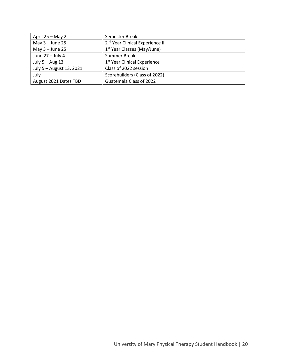| April 25 - May 2         | Semester Break                              |
|--------------------------|---------------------------------------------|
| May $3 -$ June 25        | 2 <sup>nd</sup> Year Clinical Experience II |
| May $3 -$ June 25        | 1 <sup>st</sup> Year Classes (May/June)     |
| June $27 -$ July 4       | Summer Break                                |
| July $5 - Aug$ 13        | 1 <sup>st</sup> Year Clinical Experience    |
| July 5 - August 13, 2021 | Class of 2022 session                       |
| July                     | Scorebuilders (Class of 2022)               |
| August 2021 Dates TBD    | Guatemala Class of 2022                     |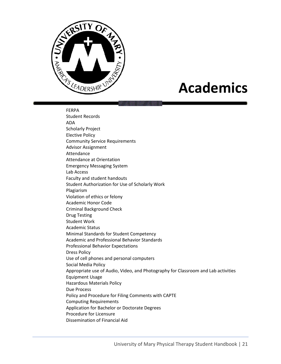

# **Academics**

FERPA Student Records ADA Scholarly Project Elective Policy Community Service Requirements Advisor Assignment Attendance Attendance at Orientation Emergency Messaging System Lab Access Faculty and student handouts Student Authorization for Use of Scholarly Work Plagiarism Violation of ethics or felony Academic Honor Code Criminal Background Check Drug Testing Student Work Academic Status Minimal Standards for Student Competency Academic and Professional Behavior Standards Professional Behavior Expectations Dress Policy Use of cell phones and personal computers Social Media Policy Appropriate use of Audio, Video, and Photography for Classroom and Lab activities Equipment Usage Hazardous Materials Policy Due Process Policy and Procedure for Filing Comments with CAPTE Computing Requirements Application for Bachelor or Doctorate Degrees Procedure for Licensure Dissemination of Financial Aid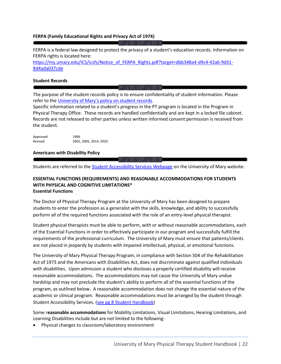### **FERPA (Family Educational Rights and Privacy Act of 1974)**

FERPA is a federal law designed to protect the privacy of a student's education records. Information on FERPA rights is located here:

[https://my.umary.edu/ICS/icsfs/Notice\\_of\\_FERPA\\_Rights.pdf?target=dbb348a4-d9c4-42a6-9d31-](https://my.umary.edu/ICS/icsfs/Notice_of_FERPA_Rights.pdf?target=dbb348a4-d9c4-42a6-9d31-8d4ada037cde) [8d4ada037cde](https://my.umary.edu/ICS/icsfs/Notice_of_FERPA_Rights.pdf?target=dbb348a4-d9c4-42a6-9d31-8d4ada037cde)

#### **Student Records**

The purpose of the student records policy is to ensure confidentiality of student information. Please refer to the [University of Mary's policy on student records](https://my.umary.edu/ICS/icsfs/Student_Records.pdf?target=691fd42c-9d35-4fb3-ac46-0edf28501beb).

Specific information related to a student's progress in the PT program is located in the Program in Physical Therapy Office. These records are handled confidentially and are kept in a locked file cabinet. Records are not released to other parties unless written informed consent permission is received from the student.

| Approved | 1996                   |
|----------|------------------------|
| Revised  | 2002, 2005, 2014, 2020 |

#### **Americans with Disability Policy**

Students are referred to the [Student Accessibility Services Webpage](https://www.umary.edu/academics/student-success-center/student-accessibility-services/index.php) on the University of Mary website.

#### **ESSENTIAL FUNCTIONS (REQUIREMENTS) AND REASONABLE ACCOMMODATIONS FOR STUDENTS WITH PHYSICAL AND COGNITIVE LIMITATIONS\* Essential Functions**

The Doctor of Physical Therapy Program at the University of Mary has been designed to prepare students to enter the profession as a generalist with the skills, knowledge, and ability to successfully perform all of the required functions associated with the role of an entry-level physical therapist.

Student physical therapists must be able to perform, with or without reasonable accommodations, each of the Essential Functions in order to effectively participate in our program and successfully fulfill the requirements of the professional curriculum. The University of Mary must ensure that patients/clients are not placed in jeopardy by students with impaired intellectual, physical, or emotional functions.

The University of Mary Physical Therapy Program, in compliance with Section 504 of the Rehabilitation Act of 1973 and the Americans with Disabilities Act, does not discriminate against qualified individuals with disabilities. Upon admission a student who discloses a properly certified disability will receive reasonable accommodations. The accommodations may not cause the University of Mary undue hardship and may not preclude the student's ability to perform all of the essential functions of the program, as outlined below. A reasonable accommodation does not change the essential nature of the academic or clinical program. Reasonable accommodations must be arranged by the student through Student Accessibility Services. [\(see pg 8 Student Handbook\)](https://www.umary.edu/_resources/pdfs/Student-Handbook-2018.pdf)

Some r**easonable accommodations** for Mobility Limitations, Visual Limitations, Hearing Limitations, and Learning Disabilities include but are not limited to the following:

• Physical changes to classroom/laboratory environment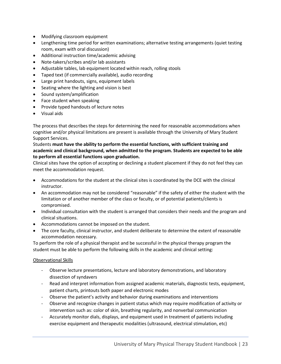- Modifying classroom equipment
- Lengthening time period for written examinations; alternative testing arrangements (quiet testing room, exam with oral discussion)
- Additional instruction time/academic advising
- Note-takers/scribes and/or lab assistants
- Adjustable tables, lab equipment located within reach, rolling stools
- Taped text (if commercially available), audio recording
- Large print handouts, signs, equipment labels
- Seating where the lighting and vision is best
- Sound system/amplification
- Face student when speaking
- Provide typed handouts of lecture notes
- Visual aids

The process that describes the steps for determining the need for reasonable accommodations when cognitive and/or physical limitations are present is available through the University of Mary Student Support Services.

## Students **must have the ability to perform the essential functions, with sufficient training and academic and clinical background, when admitted to the program. Students are expected to be able to perform all essential functions upon graduation.**

Clinical sites have the option of accepting or declining a student placement if they do not feel they can meet the accommodation request.

- Accommodations for the student at the clinical sites is coordinated by the DCE with the clinical instructor.
- An accommodation may not be considered "reasonable" if the safety of either the student with the limitation or of another member of the class or faculty, or of potential patients/clients is compromised.
- Individual consultation with the student is arranged that considers their needs and the program and clinical situations.
- Accommodations cannot be imposed on the student.
- The core faculty, clinical instructor, and student deliberate to determine the extent of reasonable accommodation necessary.

To perform the role of a physical therapist and be successful in the physical therapy program the student must be able to perform the following skills in the academic and clinical setting:

## Observational Skills

- Observe lecture presentations, lecture and laboratory demonstrations, and laboratory dissection of syndavers
- Read and interpret information from assigned academic materials, diagnostic tests, equipment, patient charts, printouts both paper and electronic modes
- Observe the patient's activity and behavior during examinations and interventions
- Observe and recognize changes in patient status which may require modification of activity or intervention such as: color of skin, breathing regularity, and nonverbal communication
- Accurately monitor dials, displays, and equipment used in treatment of patients including exercise equipment and therapeutic modalities (ultrasound, electrical stimulation, etc)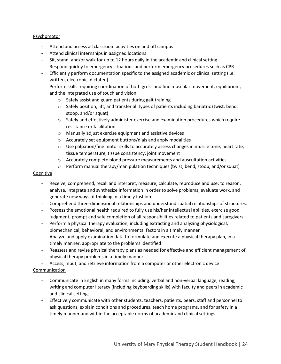## Psychomotor

- Attend and access all classroom activities on and off campus
- Attend clinical internships in assigned locations
- Sit, stand, and/or walk for up to 12 hours daily in the academic and clinical setting
- Respond quickly to emergency situations and perform emergency procedures such as CPR
- Efficiently perform documentation specific to the assigned academic or clinical setting (i.e. written, electronic, dictated)
- Perform skills requiring coordination of both gross and fine muscular movement, equilibrium, and the integrated use of touch and vision
	- o Safely assist and guard patients during gait training
	- $\circ$  Safely position, lift, and transfer all types of patients including bariatric (twist, bend, stoop, and/or squat)
	- $\circ$  Safely and effectively administer exercise and examination procedures which require resistance or facilitation
	- o Manually adjust exercise equipment and assistive devices
	- o Accurately set equipment buttons/dials and apply modalities
	- $\circ$  Use palpation/fine motor skills to accurately assess changes in muscle tone, heart rate, tissue temperature, tissue consistency, joint movement
	- $\circ$  Accurately complete blood pressure measurements and auscultation activities
	- o Perform manual therapy/manipulation techniques (twist, bend, stoop, and/or squat)

## Cognitive

- Receive, comprehend, recall and interpret, measure, calculate, reproduce and use; to reason, analyze, integrate and synthesize information in order to solve problems, evaluate work, and generate new ways of thinking in a timely fashion.
- Comprehend three-dimensional relationships and understand spatial relationships of structures.
- Possess the emotional health required to fully use his/her intellectual abilities, exercise good judgment, prompt and safe completion of all responsibilities related to patients and caregivers.
- Perform a physical therapy evaluation, including extracting and analyzing physiological, biomechanical, behavioral, and environmental factors in a timely manner
- Analyze and apply examination data to formulate and execute a physical therapy plan, in a timely manner, appropriate to the problems identified
- Reassess and revise physical therapy plans as needed for effective and efficient management of physical therapy problems in a timely manner
- Access, input, and retrieve information from a computer or other electronic device

# Communication

- Communicate in English in many forms including: verbal and non-verbal language, reading, writing and computer literacy (including keyboarding skills) with faculty and peers in academic and clinical settings
- Effectively communicate with other students, teachers, patients, peers, staff and personnel to ask questions, explain conditions and procedures, teach home programs, and for safety in a timely manner and within the acceptable norms of academic and clinical settings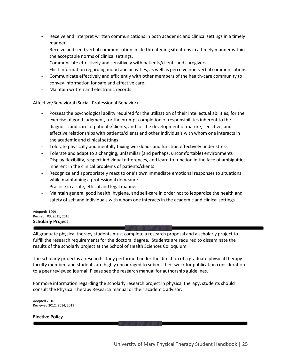- Receive and interpret written communications in both academic and clinical settings in a timely manner
- Receive and send verbal communication in life threatening situations in a timely manner within the acceptable norms of clinical settings.
- Communicate effectively and sensitively with patients/clients and caregivers
- Elicit information regarding mood and activities, as well as perceive non-verbal communications.
- Communicate effectively and efficiently with other members of the health-care community to convey information for safe and effective care.
- Maintain written and electronic records

#### Affective/Behavioral (Social, Professional Behavior)

- Possess the psychological ability required for the utilization of their intellectual abilities, for the exercise of good judgment, for the prompt completion of responsibilities inherent to the diagnosis and care of patients/clients, and for the development of mature, sensitive, and effective relationships with patients/clients and other individuals with whom one interacts in the academic and clinical settings
- Tolerate physically and mentally taxing workloads and function effectively under stress
- Tolerate and adapt to a changing, unfamiliar (and perhaps, uncomfortable) environments
- Display flexibility, respect individual differences, and learn to function in the face of ambiguities inherent in the clinical problems of patients/clients
- Recognize and appropriately react to one's own immediate emotional responses to situations while maintaining a professional demeanor.
- Practice in a safe, ethical and legal manner
- Maintain general good health, hygiene, and self-care in order not to jeopardize the health and safety of self and individuals with whom one interacts in the academic and clinical settings

#### Adopted: 1999 Revised: 03, 2011, 2016 **Scholarly Project**

All graduate physical therapy students must complete a research proposal and a scholarly project to fulfill the research requirements for the doctoral degree. Students are required to disseminate the results of the scholarly project at the School of Health Sciences Colloquium.

The scholarly project is a research study performed under the direction of a graduate physical therapy faculty member, and students are highly encouraged to submit their work for publication consideration to a peer reviewed journal. Please see the research manual for authorship guidelines.

For more information regarding the scholarly research project in physical therapy, students should consult the Physical Therapy Research manual or their academic advisor.

Adopted 2010 Reviewed 2012, 2014, 2019

#### **Elective Policy**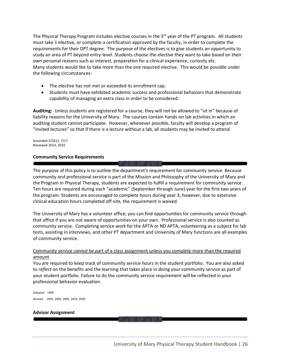The Physical Therapy Program includes elective courses in the  $3<sup>rd</sup>$  year of the PT program. All students must take 1 elective, or complete a certification approved by the faculty, in order to complete the requirements for their DPT degree. The purpose of the electives is to give students an opportunity to study an area of PT beyond entry-level. Students choose the elective they want to take based on their own personal reasons such as interest, preparation for a clinical experience, curiosity etc. Many students would like to take more than the one required elective. This would be possible under the following circumstances:

- The elective has not met or exceeded its enrollment cap.
- Students must have exhibited academic success and professional behaviors that demonstrate capability of managing an extra class in order to be considered.

**Auditing:** Unless students are registered for a course, they will not be allowed to "sit in" because of liability reasons for the University of Mary. The courses contain hands-on lab activities in which an auditing student cannot participate. However, whenever possible, faculty will develop a program of "invited lectures" so that if there is a lecture without a lab, all students may be invited to attend.

Amended 5/2011, 7/17 Reviewed 2014, 2019

#### **Community Service Requirements**

The purpose of this policy is to outline the department's requirement for community service. Because community and professional service is part of the Mission and Philosophy of the University of Mary and the Program in Physical Therapy, students are expected to fulfill a requirement for community service. Ten hours are required during each "academic" (September through June) year for the first two years of the program. Students are encouraged to complete hours during year 3; however, due to extensive clinical education hours completed off-site, the requirement is waived.

The University of Mary has a volunteer office; you can find opportunities for community service through that office if you are not aware of opportunities on your own. Professional service is also counted as community service. Completing service work for the APTA or ND APTA, volunteering as a subject for lab tests, assisting in interviews, and other PT department and University of Mary functions are all examples of community service.

## Community service *cannot* be part of a class assignment unless you complete more than the required amount

You are required to keep track of community service hours in the student portfolio. You are also asked to *reflect* on the benefits and the learning that takes place in doing your community service as part of your student portfolio. Failure to do the community service requirement will be reflected in your professional behavior evaluation.

Adopted 1999 Revised 2001, 2002, 2005, 2019, 2020

#### **Advisor Assignment**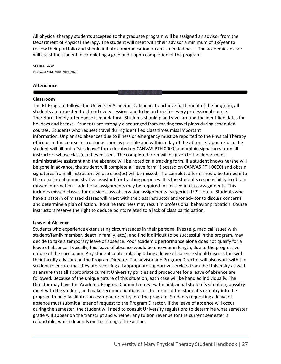All physical therapy students accepted to the graduate program will be assigned an advisor from the Department of Physical Therapy. The student will meet with their advisor a minimum of 1x/year to review their portfolio and should initiate communication on an as needed basis. The academic advisor will assist the student in completing a grad audit upon completion of the program.

Adopted 2010 Reviewed 2014, 2018, 2019, 2020

#### **Attendance**

#### **Classroom**

The PT Program follows the University Academic Calendar. To achieve full benefit of the program, all students are expected to attend every session, and to be on time for every professional course. Therefore, timely attendance is mandatory. Students should plan travel around the identified dates for holidays and breaks. Students are strongly discouraged from making travel plans during scheduled courses. Students who request travel during identified class times miss important information. Unplanned absences due to illness or emergency must be reported to the Physical Therapy office or to the course instructor as soon as possible and within a day of the absence. Upon return, the student will fill out a "sick leave" form (located on CANVAS PTH 0000) and obtain signatures from all instructors whose class(es) they missed. The completed form will be given to the department administrative assistant and the absence will be noted on a tracking form. If a student knows he/she will be gone in advance, the student will complete a "leave form" (located on CANVAS PTH 0000) and obtain signatures from all instructors whose class(es) will be missed. The completed form should be turned into the department administrative assistant for tracking purposes. It is the student's responsibility to obtain missed information - additional assignments may be required for missed in-class assignments. This includes missed classes for outside class observation assignments (surgeries, IEP's, etc.). Students who have a pattern of missed classes will meet with the class instructor and/or advisor to discuss concerns and determine a plan of action. Routine tardiness may result in professional behavior probation. Course instructors reserve the right to deduce points related to a lack of class participation.

#### **Leave of Absence**

Students who experience extenuating circumstances in their personal lives (e.g. medical issues with student/family member, death in family, etc.), and find it difficult to be successful in the program, may decide to take a temporary leave of absence. Poor academic performance alone does not qualify for a leave of absence. Typically, this leave of absence would be one year in length, due to the progressive nature of the curriculum. Any student contemplating taking a leave of absence should discuss this with their faculty advisor and the Program Director. The advisor and Program Director will also work with the student to ensure that they are receiving all appropriate supportive services from the University as well as ensure that all appropriate current University policies and procedures for a leave of absence are followed. Because of the unique nature of this situation, each case will be handled individually. The Director may have the Academic Progress Committee review the individual student's situation, possibly meet with the student, and make recommendations for the terms of the student's re-entry into the program to help facilitate success upon re-entry into the program. Students requesting a leave of absence must submit a letter of request to the Program Director. If the leave of absence will occur during the semester, the student will need to consult University regulations to determine what semester grade will appear on the transcript and whether any tuition revenue for the current semester is refundable, which depends on the timing of the action.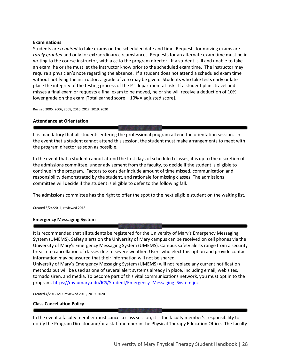#### **Examinations**

Students are *required* to take exams on the scheduled date and time. Requests for moving exams are *rarely granted* and only for extraordinary circumstances. Requests for an alternate exam time must be in writing to the course instructor, with a cc to the program director. If a student is ill and unable to take an exam, he or she must let the instructor know prior to the scheduled exam time. The instructor may require a physician's note regarding the absence. If a student does not attend a scheduled exam time without notifying the instructor, a grade of zero may be given. Students who take tests early or late place the integrity of the testing process of the PT department at risk. If a student plans travel and misses a final exam or requests a final exam to be moved, he or she will receive a deduction of 10% lower grade on the exam [Total earned score – 10% = adjusted score].

Revised 2005, 2006, 2008, 2010, 2017, 2019, 2020

#### **Attendance at Orientation**

It is mandatory that all students entering the professional program attend the orientation session. In the event that a student cannot attend this session, the student must make arrangements to meet with the program director as soon as possible.

In the event that a student cannot attend the first days of scheduled classes, it is up to the discretion of the admissions committee, under advisement from the faculty, to decide if the student is eligible to continue in the program. Factors to consider include amount of time missed, communication and responsibility demonstrated by the student, and rationale for missing classes. The admissions committee will decide if the student is eligible to defer to the following fall.

The admissions committee has the right to offer the spot to the next eligible student on the waiting list.

Created 8/24/2011, reviewed 2018

#### **Emergency Messaging System**

It is recommended that all students be registered for the University of Mary's Emergency Messaging System (UMEMS). Safety alerts on the University of Mary campus can be received on cell phones via the University of Mary's Emergency Messaging System (UMEMS). Campus safety alerts range from a security breach to cancellation of classes due to severe weather. Users who elect this option and provide contact information may be assured that their information will not be shared.

University of Mary's Emergency Messaging System (UMEMS) will not replace any current notification methods but will be used as one of several alert systems already in place, including email, web sites, tornado siren, and media. To become part of this vital communications network, you must opt in to the program. [https://my.umary.edu/ICS/Student/Emergency\\_Messaging\\_System.jnz](https://my.umary.edu/ICS/Student/Emergency_Messaging_System.jnz)

Created 4/2012 MD, reviewed 2018, 2019, 2020

#### **Class Cancellation Policy**

In the event a faculty member must cancel a class session, it is the faculty member's responsibility to notify the Program Director and/or a staff member in the Physical Therapy Education Office. The faculty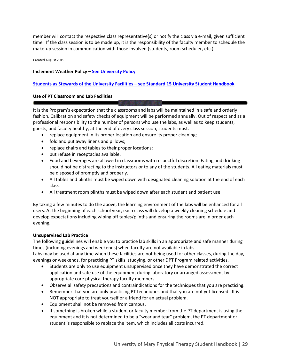member will contact the respective class representative(s) or notify the class via e-mail, given sufficient time. If the class session is to be made up, it is the responsibility of the faculty member to schedule the make-up session in communication with those involved (students, room scheduler, etc.).

Created August 2019

#### **Inclement Weather Policy – [See University Policy](https://my.umary.edu/ICS/icsfs/Inclement_Weather_Policy_rev._10.23.19_Final.pdf?target=1fce5ee4-4f39-433e-81aa-dabca985aca1)**

## **[Students as Stewards of the University Facilities](https://www.umary.edu/_resources/pdfs/Student-Handbook-2018.pdf) – see Standard 15 University Student Handbook**

## **Use of PT Classroom and Lab Facilities**

It is the Program's expectation that the classrooms and labs will be maintained in a safe and orderly fashion. Calibration and safety checks of equipment will be performed annually. Out of respect and as a professional responsibility to the number of persons who use the labs, as well as to keep students, guests, and faculty healthy, at the end of every class session, students must:

- replace equipment in its proper location and ensure its proper cleaning;
- fold and put away linens and pillows;
- replace chairs and tables to their proper locations;
- put refuse in receptacles available.
- Food and beverages are allowed in classrooms with respectful discretion. Eating and drinking should not be distracting to the instructors or to any of the students. All eating materials must be disposed of promptly and properly.
- All tables and plinths must be wiped down with designated cleaning solution at the end of each class.
- All treatment room plinths must be wiped down after each student and patient use

By taking a few minutes to do the above, the learning environment of the labs will be enhanced for all users. At the beginning of each school year, each class will develop a weekly cleaning schedule and develop expectations including wiping off tables/plinths and ensuring the rooms are in order each evening.

#### **Unsupervised Lab Practice**

The following guidelines will enable you to practice lab skills in an appropriate and safe manner during times (including evenings and weekends) when faculty are not available in labs.

Labs may be used at any time when these facilities are not being used for other classes, during the day, evenings or weekends, for practicing PT skills, studying, or other DPT Program related activities.

- Students are only to use equipment unsupervised once they have demonstrated the correct application and safe use of the equipment during laboratory or arranged assessment by appropriate core physical therapy faculty members.
- Observe all safety precautions and contraindications for the techniques that you are practicing.
- Remember that you are only practicing PT techniques and that you are not yet licensed. It is NOT appropriate to treat yourself or a friend for an actual problem.
- Equipment shall not be removed from campus.
- If something is broken while a student or faculty member from the PT department is using the equipment and it is not determined to be a "wear and tear" problem, the PT department or student is responsible to replace the item, which includes all costs incurred.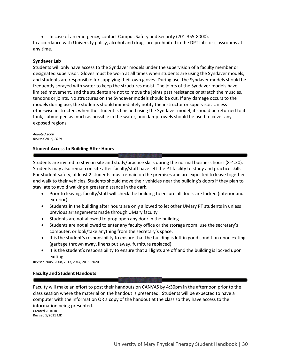• In case of an emergency, contact Campus Safety and Security (701-355-8000). In accordance with University policy, alcohol and drugs are prohibited in the DPT labs or classrooms at any time.

#### **Syndaver Lab**

Students will only have access to the Syndaver models under the supervision of a faculty member or designated supervisor. Gloves must be worn at all times when students are using the Syndaver models, and students are responsible for supplying their own gloves. During use, the Syndaver models should be frequently sprayed with water to keep the structures moist. The joints of the Syndaver models have limited movement, and the students are not to move the joints past resistance or stretch the muscles, tendons or joints. No structures on the Syndaver models should be cut. If any damage occurs to the models during use, the students should immediately notify the instructor or supervisor. Unless otherwise instructed, when the student is finished using the Syndaver model, it should be returned to its tank, submerged as much as possible in the water, and damp towels should be used to cover any exposed regions.

#### *Adopted 2006 Revised 2016, 2019*

#### **Student Access to Building After Hours**

Students are invited to stay on site and study/practice skills during the normal business hours (8-4:30). Students may also remain on site after faculty/staff have left the PT facility to study and practice skills. For student safety, at least 2 students must remain on the premises and are expected to leave together and walk to their vehicles. Students should move their vehicles near the building's doors if they plan to stay late to avoid walking a greater distance in the dark.

- Prior to leaving, faculty/staff will check the building to ensure all doors are locked (interior and exterior).
- Students in the building after hours are only allowed to let other UMary PT students in unless previous arrangements made through UMary faculty
- Students are not allowed to prop open any door in the building
- Students are not allowed to enter any faculty office or the storage room, use the secretary's computer, or look/take anything from the secretary's space.
- It is the student's responsibility to ensure that the building is left in good condition upon exiting (garbage thrown away, linens put away, furniture replaced)
- It is the student's responsibility to ensure that all lights are off and the building is locked upon exiting

Revised 2005, 2008, 2013, 2014, 2015, 2020

#### **Faculty and Student Handouts**

Faculty will make an effort to post their handouts on CANVAS by 4:30pm in the afternoon prior to the class session where the material on the handout is presented. Students will be expected to have a computer with the information OR a copy of the handout at the class so they have access to the information being presented.

Created 2010 JR Revised 5/2011 MD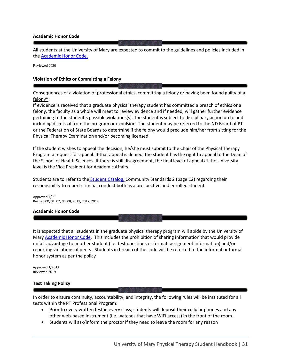#### **Academic Honor Code**

All students at the University of Mary are expected to commit to the guidelines and policies included in th[e Academic Honor Code.](https://my.umary.edu/ICS/icsfs/Honor_Code_04_2017.pdf?target=72eec95f-b2f6-47ce-b2b0-4bab276a4387) 

Reviewed 2020

#### **Violation of Ethics or Committing a Felony**

## Consequences of a violation of professional ethics, committing a felony or having been found guilty of a felony\*:

If evidence is received that a graduate physical therapy student has committed a breach of ethics or a felony, the faculty as a whole will meet to review evidence and if needed, will gather further evidence pertaining to the student's possible violations(s). The student is subject to disciplinary action up to and including dismissal from the program or expulsion. The student may be referred to the ND Board of PT or the Federation of State Boards to determine if the felony would preclude him/her from sitting for the Physical Therapy Examination and/or becoming licensed.

If the student wishes to appeal the decision, he/she must submit to the Chair of the Physical Therapy Program a request for appeal. If that appeal is denied, the student has the right to appeal to the Dean of the School of Health Sciences. If there is still disagreement, the final level of appeal at the University level is the Vice President for Academic Affairs.

Students are to refer to the **[Student Catalog, C](https://www.umary.edu/_resources/pdfs/Student-Handbook-2018.pdf)ommunity Standards 2 (page 12)** regarding their responsibility to report criminal conduct both as a prospective and enrolled student

Approved 7/99 Revised 00, 01, 02, 05, 08, 2011, 2017, 2019

#### **Academic Honor Code**

It is expected that all students in the graduate physical therapy program will abide by the University of Mary [Academic Honor Code.](https://my.umary.edu/ICS/icsfs/Honor_Code_04_2017.pdf?target=72eec95f-b2f6-47ce-b2b0-4bab276a4387) This includes the prohibition of sharing information that would provide unfair advantage to another student (i.e. test questions or format, assignment information) and/or reporting violations of peers. Students in breach of the code will be referred to the informal or formal honor system as per the policy

Approved 1/2012 Reviewed 2019

#### **Test Taking Policy**

In order to ensure continuity, accountability, and integrity, the following rules will be instituted for all tests within the PT Professional Program:

- Prior to every written test in every class, students will deposit their cellular phones and any other web-based instrument (i.e. watches that have WiFi access) in the front of the room.
- Students will ask/inform the proctor if they need to leave the room for any reason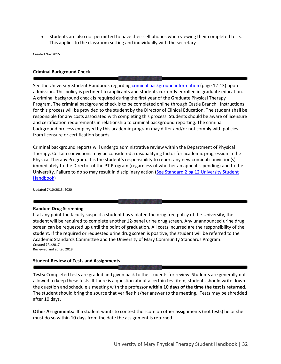• Students are also not permitted to have their cell phones when viewing their completed tests. This applies to the classroom setting and individually with the secretary

Created Nov 2015

#### **Criminal Background Check**

See the University Student Handbook regarding [criminal background information \(](https://www.umary.edu/_resources/pdfs/Student-Handbook-2018.pdf)page 12-13) upon admission. This policy is pertinent to applicants and students currently enrolled in graduate education. A criminal background check is required during the first year of the Graduate Physical Therapy Program. The criminal background check is to be completed online through Castle Branch. Instructions for this process will be provided to the student by the Director of Clinical Education. The student shall be responsible for any costs associated with completing this process. Students should be aware of licensure and certification requirements in relationship to criminal background reporting. The criminal background process employed by this academic program may differ and/or not comply with policies from licensure or certification boards.

Criminal background reports will undergo administrative review within the Department of Physical Therapy. Certain convictions may be considered a disqualifying factor for academic progression in the Physical Therapy Program. It is the student's responsibility to report any new criminal conviction(s) immediately to the Director of the PT Program (regardless of whether an appeal is pending) and to the University. Failure to do so may result in disciplinary action (See Standard 2 pg 12 University Student [Handbook\)](https://www.umary.edu/_resources/pdfs/Student-Handbook-2018.pdf)

Updated 7/10/2015, 2020

#### **Random Drug Screening**

If at any point the faculty suspect a student has violated the drug free policy of the University, the student will be required to complete another 12-panel urine drug screen. Any unannounced urine drug screen can be requested up until the point of graduation. All costs incurred are the responsibility of the student. If the required or requested urine drug screen is positive, the student will be referred to the Academic Standards Committee and the University of Mary Community Standards Program. Created 7/1/2017 Reviewed and edited 2019

#### **Student Review of Tests and Assignments**

**Tests:** Completed tests are graded and given back to the students for review. Students are generally not allowed to keep these tests. If there is a question about a certain test item, students should write down the question and schedule a meeting with the professor **within 10 days of the time the test is returned.** The student should bring the source that verifies his/her answer to the meeting. Tests may be shredded after 10 days.

**Other Assignments:** If a student wants to contest the score on other assignments (not tests) he or she must do so within 10 days from the date the assignment is returned.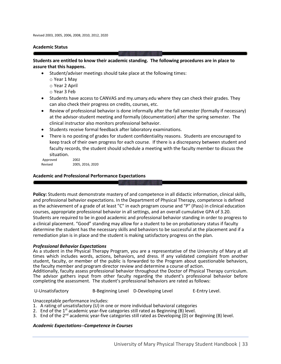#### **Academic Status**

#### **Students are entitled to know their academic standing. The following procedures are in place to assure that this happens.**

- Student/adviser meetings should take place at the following times:
	- o Year 1 May
	- o Year 2 April
	- o Year 3 Feb
- Students have access to CANVAS and my.umary.edu where they can check their grades. They can also check their progress on credits, courses, etc.
- Review of professional behavior is done informally after the fall semester (formally if necessary) at the advisor-student meeting and formally (documentation) after the spring semester. The clinical instructor also monitors professional behavior.
- Students receive formal feedback after laboratory examinations.
- There is no posting of grades for student confidentiality reasons. Students are encouraged to keep track of their own progress for each course. If there is a discrepancy between student and faculty records, the student should schedule a meeting with the faculty member to discuss the situation.

| Approved | 2002             |
|----------|------------------|
| Revised  | 2005, 2016, 2020 |

#### **Academic and Professional Performance Expectations**

**Policy:** Students must demonstrate mastery of and competence in all didactic information, clinical skills, and professional behavior expectations. In the Department of Physical Therapy, competence is defined as the achievement of a grade of at least "C" in each program course and "P" (Pass) in clinical education courses, appropriate professional behavior in all settings, and an overall cumulative GPA of 3.20. Students are required to be in good academic and professional behavior standing in order to progress to a clinical placement. "Good" standing may allow for a student to be on probationary status if faculty determine the student has the necessary skills and behaviors to be successful at the placement and if a remediation plan is in place and the student is making satisfactory progress on the plan.

#### *Professional Behavior Expectations*

As a student in the Physical Therapy Program, you are a representative of the University of Mary at all times which includes words, actions, behaviors, and dress. If any validated complaint from another student, faculty, or member of the public is forwarded to the Program about questionable behaviors, the faculty member and program director review and determine a course of action.

Additionally, faculty assess professional behavior throughout the Doctor of Physical Therapy curriculum. The advisor gathers input from other faculty regarding the student's professional behavior before completing the assessment. The student's professional behaviors are rated as follows:

U-Unsatisfactory B-Beginning Level D-Developing Level E-Entry Level.

Unacceptable performance includes:

- 1. A rating of unsatisfactory (U) in one or more individual behavioral categories
- 2. End of the  $1^{st}$  academic year-five categories still rated as Beginning (B) level.
- 3. End of the 2<sup>nd</sup> academic year-five categories still rated as Developing (D) or Beginning (B) level.

#### *Academic Expectations--Competence in Courses*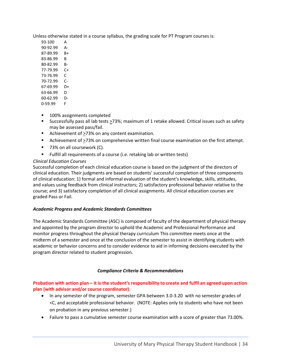Unless otherwise stated in a course syllabus, the grading scale for PT Program courses is:

- 93-100 A
- 90-92.99 A-
- 87-89.99 B+
- 83-86.99 B
- 80-82.99 B-
- 77-79.99 C+
- 73-76.99 C
- 70-72.99 C-
- 67-69.99 D+
- 63-66.99 D
- 60-62.99 D-0-59.99 F
- 100% assignments completed
- Successfully pass all lab tests ≥73%; maximum of 1 retake allowed. Critical issues such as safety may be assessed pass/fail.
- Achievement of  $\geq$ 73% on any content examination.
- Achievement of >73% on comprehensive written final course examination on the first attempt.
- 73% on all coursework (C).
- Fulfill all requirements of a course (i.e. retaking lab or written tests)

# *Clinical Education Courses*

Successful completion of each clinical education course is based on the judgment of the directors of clinical education. Their judgments are based on students' successful completion of three components of clinical education: 1) formal and informal evaluation of the student's knowledge, skills, attitudes, and values using feedback from clinical instructors; 2) satisfactory professional behavior relative to the course; and 3) satisfactory completion of all clinical assignments. All clinical education courses are graded Pass or Fail.

## *Academic Progress and Academic Standards Committees*

The Academic Standards Committee (ASC) is composed of faculty of the department of physical therapy and appointed by the program director to uphold the Academic and Professional Performance and monitor progress throughout the physical therapy curriculum This committee meets once at the midterm of a semester and once at the conclusion of the semester to assist in identifying students with academic or behavior concerns and to consider evidence to aid in informing decisions executed by the program director related to student progression.

## *Compliance Criteria & Recommendations*

**Probation with action plan – it is the student's responsibility to create and fulfil an agreed upon action plan (with advisor and/or course coordinator).** 

- In any semester of the program, semester GPA between 3.0-3.20 with no semester grades of <C, and acceptable professional behavior. (NOTE: Applies only to students who have not been on probation in any previous semester.)
- Failure to pass a cumulative semester course examination with a score of greater than 73.00%.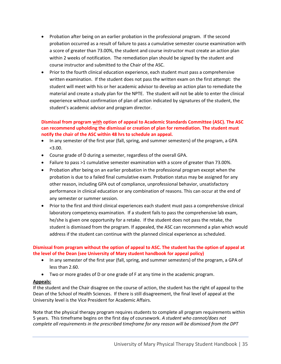- Probation after being on an earlier probation in the professional program. If the second probation occurred as a result of failure to pass a cumulative semester course examination with a score of greater than 73.00%, the student and course instructor must create an action plan within 2 weeks of notification. The remediation plan should be signed by the student and course instructor and submitted to the Chair of the ASC.
- Prior to the fourth clinical education experience, each student must pass a comprehensive written examination. If the student does not pass the written exam on the first attempt: the student will meet with his or her academic advisor to develop an action plan to remediate the material and create a study plan for the NPTE. The student will not be able to enter the clinical experience without confirmation of plan of action indicated by signatures of the student, the student's academic advisor and program director.

## **Dismissal from program with option of appeal to Academic Standards Committee (ASC). The ASC can recommend upholding the dismissal or creation of plan for remediation. The student must notify the chair of the ASC within 48 hrs to schedule an appeal.**

- In any semester of the first year (fall, spring, and summer semesters) of the program, a GPA <3.00.
- Course grade of D during a semester, regardless of the overall GPA.
- Failure to pass >1 cumulative semester examination with a score of greater than 73.00%.
- Probation after being on an earlier probation in the professional program except when the probation is due to a failed final cumulative exam. Probation status may be assigned for any other reason, including GPA out of compliance, unprofessional behavior, unsatisfactory performance in clinical education or any combination of reasons. This can occur at the end of any semester or summer session.
- Prior to the first and third clinical experiences each student must pass a comprehensive clinical laboratory competency examination. If a student fails to pass the comprehensive lab exam, he/she is given one opportunity for a retake. If the student does not pass the retake, the student is dismissed from the program. If appealed, the ASC can recommend a plan which would address if the student can continue with the planned clinical experience as scheduled.

## **Dismissal from program without the option of appeal to ASC. The student has the option of appeal at the level of the Dean (see University of Mary student handbook for appeal policy)**

- In any semester of the first year (fall, spring, and summer semesters) of the program, a GPA of less than 2.60.
- Two or more grades of D or one grade of F at any time in the academic program.

#### **Appeals:**

If the student and the Chair disagree on the course of action, the student has the right of appeal to the Dean of the School of Health Sciences. If there is still disagreement, the final level of appeal at the University level is the Vice President for Academic Affairs.

Note that the physical therapy program requires students to complete all program requirements within 5 years. This timeframe begins on the first day of coursework. *A student who cannot/does not complete all requirements in the prescribed timeframe for any reason will be dismissed from the DPT*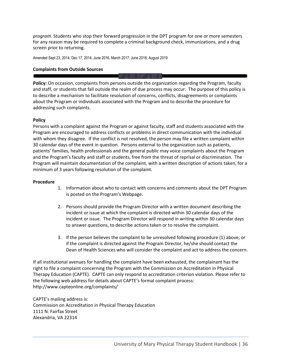*program.* Students who stop their forward progression in the DPT program for one or more semesters for any reason may be required to complete a criminal background check, immunizations, and a drug screen prior to returning.

Amended Sept 23, 2014, Dec 17, 2014, June 2016, March 2017; June 2018; August 2019

## **Complaints from Outside Sources**

**Policy:** On occasion, complaints from persons outside the organization regarding the Program, faculty and staff, or students that fall outside the realm of due process may occur. The purpose of this policy is to describe a mechanism to facilitate resolution of concerns, conflicts, disagreements or complaints about the Program or individuals associated with the Program and to describe the procedure for addressing such complaints.

#### **Policy**

Persons with a complaint against the Program or against faculty, staff and students associated with the Program are encouraged to address conflicts or problems in direct communication with the individual with whom they disagree. If the conflict is not resolved, the person may file a written complaint within 30 calendar days of the event in question. Persons external to the organization such as patients, patients' families, health professionals and the general public may voice complaints about the Program and the Program's faculty and staff or students, free from the threat of reprisal or discrimination. The Program will maintain documentation of the complaint, with a written description of actions taken, for a minimum of 3 years following resolution of the complaint.

#### **Procedure**

- 1. Information about who to contact with concerns and comments about the DPT Program is posted on the Program's Webpage.
- 2. Persons should provide the Program Director with a written document describing the incident or issue at which the complaint is directed within 30 calendar days of the incident or issue. The Program Director will respond in writing within 30 calendar days to answer questions, to describe actions taken or to resolve the complaint.
- 3. If the person believes the complaint to be unresolved following procedure (1) above, or if the complaint is directed against the Program Director, he/she should contact the Dean of Health Sciences who will consider the complaint and act to address the concern.

If all institutional avenues for handling the complaint have been exhausted, the complainant has the right to file a complaint concerning the Program with the Commission on Accreditation in Physical Therapy Education (CAPTE). CAPTE can only respond to accreditation criterion violation. Please refer to the following web address for details about CAPTE's formal complaint process: http://www.capteonline.org/complaints/

CAPTE's mailing address is: Commission on Accreditation in Physical Therapy Education 1111 N. Fairfax Street Alexandria, VA 22314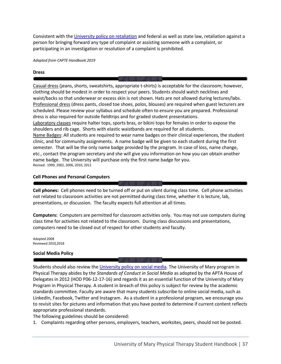Consistent with th[e University policy on retaliation](https://my.umary.edu/ICS/icsfs/Retaliation.pdf?target=20d6c93d-9c91-444c-bf5d-4a744c2401eb) and federal as well as state law, retaliation against a person for bringing forward any type of complaint or assisting someone with a complaint, or participating in an investigation or resolution of a complaint is prohibited.

*Adapted from CAPTE Handbook 2019*

#### **Dress**

Casual dress (jeans, shorts, sweatshirts, appropriate t-shirts) is acceptable for the classroom; however, clothing should be modest in order to respect your peers. Students should watch necklines and waist/backs so that underwear or excess skin is not shown. Hats are not allowed during lectures/labs. Professional dress (dress pants, closed toe shoes, polos, blouses) are required when guest lecturers are scheduled. Please review your syllabus and schedule often to ensure you are prepared. Professional dress is also required for outside fieldtrips and for graded student presentations. Laboratory classes require halter tops, sports bras, or bikini tops for females in order to expose the shoulders and rib cage. Shorts with elastic waistbands are required for all students. Name Badges: All students are required to wear name badges on their clinical experiences, the student clinic, and for community assignments. A name badge will be given to each student during the first semester. That will be the only name badge provided by the program. In case of loss, name change,

etc., contact the program secretary and she will give you information on how you can obtain another name badge. The University will purchase only the first name badge for you. Revised: 1999, 2002, 2006, 2010, 2012

#### **Cell Phones and Personal Computers**

**Cell phones:** Cell phones need to be turned off or put on silent during class time. Cell phone activities not related to classroom activities are not permitted during class time, whether it is lecture, lab, presentations, or discussion. The faculty expects full attention at all times.

**Computers:** Computers are permitted for classroom activities only. You may not use computers during class time for activities not related to the classroom. During class discussions and presentations, computers need to be closed out of respect for other students and faculty.

Adopted 2008 Reviewed 2010,2018

### **Social Media Policy**

Students should also review the *University policy on social media*. The University of Mary program in Physical Therapy abides by t*he Standards of Conduct in Social Media* as adopted by the APTA House of Delegates in 2012 (HOD P06-12-17-16) and regards it as an essential function of the University of Mary Program in Physical Therapy. A student in breach of this policy is subject for review by the academic standards committee. Faculty are aware that many students subscribe to online social media, such as LinkedIn, Facebook, Twitter and Instagram. As a student in a professional program, we encourage you to revisit sites for pictures and information that you have posted to determine if current content reflects appropriate professional standards.

The following guidelines should be considered:

1. Complaints regarding other persons, employers, teachers, worksites, peers, should not be posted.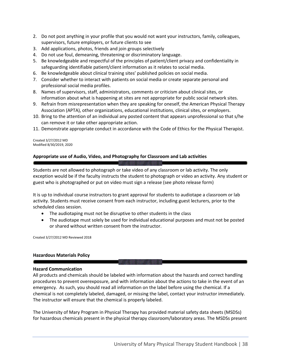- 2. Do not post anything in your profile that you would not want your instructors, family, colleagues, supervisors, future employers, or future clients to see
- 3. Add applications, photos, friends and join groups selectively
- 4. Do not use foul, demeaning, threatening or discriminatory language.
- 5. Be knowledgeable and respectful of the principles of patient/client privacy and confidentiality in safeguarding identifiable patient/client information as it relates to social media.
- 6. Be knowledgeable about clinical training sites' published policies on social media.
- 7. Consider whether to interact with patients on social media or create separate personal and professional social media profiles.
- 8. Names of supervisors, staff, administrators, comments or criticism about clinical sites, or information about what is happening at sites are not appropriate for public social network sites.
- 9. Refrain from misrepresentation when they are speaking for oneself, the American Physical Therapy Association (APTA), other organizations, educational institutions, clinical sites, or employers.
- 10. Bring to the attention of an individual any posted content that appears unprofessional so that s/he can remove it or take other appropriate action.
- 11. Demonstrate appropriate conduct in accordance with the Code of Ethics for the Physical Therapist.

Created 3/27/2012 MD Modified 8/30/2019, 2020

## **Appropriate use of Audio, Video, and Photography for Classroom and Lab activities**

Students are not allowed to photograph or take video of any classroom or lab activity. The only exception would be if the faculty instructs the student to photograph or video an activity. Any student or guest who is photographed or put on video must sign a release (see photo release form)

It is up to individual course instructors to grant approval for students to audiotape a classroom or lab activity. Students must receive consent from each instructor, including guest lecturers, prior to the scheduled class session.

- The audiotaping must not be disruptive to other students in the class
- The audiotape must solely be used for individual educational purposes and must not be posted or shared without written consent from the instructor.

Created 3/27/2012 MD Reviewed 2018

### **Hazardous Materials Policy**

### **Hazard Communication**

All products and chemicals should be labeled with information about the hazards and correct handling procedures to prevent overexposure, and with information about the actions to take in the event of an emergency. As such, you should read all information on the label before using the chemical. If a chemical is not completely labeled, damaged, or missing the label, contact your instructor immediately. The instructor will ensure that the chemical is properly labeled.

The University of Mary Program in Physical Therapy has provided material safety data sheets (MSDSs) for hazardous chemicals present in the physical therapy classroom/laboratory areas. The MSDSs present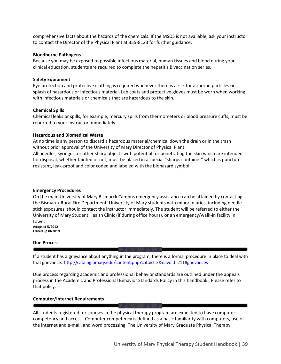comprehensive facts about the hazards of the chemicals. If the MSDS is not available, ask your instructor to contact the Director of the Physical Plant at 355-8123 for further guidance.

#### **Bloodborne Pathogens**

Because you may be exposed to possible infectious material, human tissues and blood during your clinical education, students are required to complete the hepatitis B vaccination series.

### **Safety Equipment**

Eye protection and protective clothing is required whenever there is a risk for airborne particles or splash of hazardous or infectious material. Lab coats and protective gloves must be worn when working with infectious materials or chemicals that are hazardous to the skin.

## **Chemical Spills**

Chemical leaks or spills, for example, mercury spills from thermometers or blood pressure cuffs, must be reported to your instructor immediately.

## **Hazardous and Biomedical Waste**

At no time is any person to discard a hazardous material/chemical down the drain or in the trash without prior approval of the University of Mary Director of Physical Plant.

All needles, syringes, or other sharp objects with potential for penetrating the skin which are intended for disposal, whether tainted or not, must be placed in a special "sharps container" which is punctureresistant, leak-proof and color coded and labeled with the biohazard symbol.

### **Emergency Procedures**

On the main University of Mary Bismarck Campus emergency assistance can be attained by contacting the Bismarck Rural Fire Department. University of Mary students with minor injuries, including needle stick exposures, should contact the instructor immediately. The student will be referred to either the University of Mary Student Health Clinic (if during office hours), or an emergency/walk-in facility in town. **Adopted 5/2012**

**Edited 8/30/2019**

### **Due Process**

If a student has a grievance about anything in the program, there is a formal procedure in place to deal with that grievance.<http://catalog.umary.edu/content.php?catoid=3&navoid=211#grievances>

Due process regarding academic and professional behavior standards are outlined under the appeals process in the Academic and Professional Behavior Standards Policy in this handbook*.* Please refer to that policy.

## **Computer/Internet Requirements**

All students registered for courses in the physical therapy program are expected to have computer competency and access. Computer competency is defined as a basic familiarity with computers, use of the internet and e-mail, and word processing. The University of Mary Graduate Physical Therapy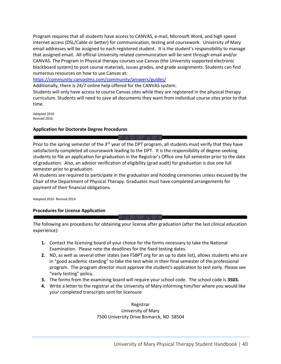Program requires that all students have access to CANVAS, e-mail, Microsoft Word, and high speed internet access (DSL/Cable or better) for communication, testing and coursework. University of Mary email addresses will be assigned to each registered student. It is the student's responsibility to manage that assigned email. All official University related communication will be sent through email and/or CANVAS. The Program in Physical therapy courses use Canvas (the University supported electronic blackboard system) to post course materials, issues grades, and grade assignments. Students can find numerous resources on how to use Canvas at:

<https://community.canvaslms.com/community/answers/guides/>

Additionally, there is 24/7 online help offered for the CANVAS system.

Students will only have access to course Canvas sites while they are registered in the physical therapy curriculum. Students will need to save all documents they want from individual course sites prior to that time.

Adopted 2010 Revised 2016

## **Application for Doctorate Degree Procedures**

Prior to the spring semester of the  $3<sup>rd</sup>$  year of the DPT program, all students must verify that they have satisfactorily completed all coursework leading to the DPT. It is the responsibility of degree-seeking students to file an application for graduation in the Registrar's Office one full semester prior to the date of graduation. Also, an advisor verification of eligibility (grad audit) for graduation is due one full semester prior to graduation.

All students are required to participate in the graduation and hooding ceremonies unless excused by the Chair of the Department of Physical Therapy. Graduates must have completed arrangements for payment of their financial obligations.

Adopted 2010 Revised 2014

## **Procedures for License Application**

The following are procedures for obtaining your license after graduation (after the last clinical education experience):

- **1.** Contact the licensing board of your choice for the forms necessary to take the National Examination. Please note the deadlines for the fixed testing dates.
- **2.** ND, as well as several other states (see FSBPT.org for an up to date list), allows students who are in "good academic standing" to take the test while in their final semester of the professional program. The program director must approve the student's application to test early. Please see "early testing" policy.
- **3.** The forms from the examining board will require your school code. The school code is **3503.**
- **4.** Write a letter to the registrar at the University of Mary informing him/her where you would like your completed transcripts sent for licensure

Registrar University of Mary 7500 University Drive Bismarck, ND 58504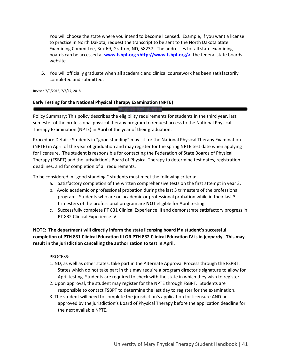You will choose the state where you intend to become licensed. Example, if you want a license to practice in North Dakota, request the transcript to be sent to the North Dakota State Examining Committee, Box 69, Grafton, ND, 58237. The addresses for all state examining boards can be accessed at **[www.fsbpt.](http://www.fsbpt/)org <http://www.fsbpt.org/>**, the federal state boards website.

**5.** You will officially graduate when all academic and clinical coursework has been satisfactorily completed and submitted.

Revised 7/9/2013, 7/7/17, 2018

## **Early Testing for the National Physical Therapy Examination (NPTE)**

Policy Summary: This policy describes the eligibility requirements for students in the third year, last semester of the professional physical therapy program to request access to the National Physical Therapy Examination (NPTE) in April of the year of their graduation.

Procedure Details: Students in "good standing" may sit for the National Physical Therapy Examination (NPTE) in April of the year of graduation and may register for the spring NPTE test date when applying for licensure. The student is responsible for contacting the Federation of State Boards of Physical Therapy (FSBPT) and the jurisdiction's Board of Physical Therapy to determine test dates, registration deadlines, and for completion of all requirements.

To be considered in "good standing," students must meet the following criteria:

- a. Satisfactory completion of the written comprehensive tests on the first attempt in year 3.
- b. Avoid academic or professional probation during the last 3 trimesters of the professional program. Students who are on academic or professional probation while in their last 3 trimesters of the professional program are **NOT** eligible for April testing.
- c. Successfully complete PT 831 Clinical Experience III and demonstrate satisfactory progress in PT 832 Clinical Experience IV.

**NOTE: The department will directly inform the state licensing board if a student's successful completion of PTH 831 Clinical Education III OR PTH 832 Clinical Education IV is in jeopardy. This may result in the jurisdiction cancelling the authorization to test in April.** 

PROCESS:

- 1. ND, as well as other states, take part in the Alternate Approval Process through the FSPBT. States which do not take part in this may require a program director's signature to allow for April testing. Students are required to check with the state in which they wish to register.
- 2. Upon approval, the student may register for the NPTE through FSBPT. Students are responsible to contact FSBPT to determine the last day to register for the examination.
- 3. The student will need to complete the jurisdiction's application for licensure AND be approved by the jurisdiction's Board of Physical Therapy before the application deadline for the next available NPTE.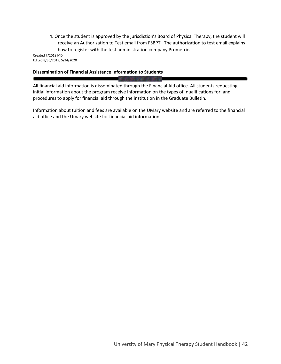4. Once the student is approved by the jurisdiction's Board of Physical Therapy, the student will receive an Authorization to Test email from FSBPT. The authorization to test email explains how to register with the test administration company Prometric.

Created 7/2018 MD Edited 8/30/2019, 5/24/2020

## **Dissemination of Financial Assistance Information to Students**

All financial aid information is disseminated through the Financial Aid office. All students requesting initial information about the program receive information on the types of, qualifications for, and procedures to apply for financial aid through the institution in the Graduate Bulletin.

Information about tuition and fees are available on the UMary website and are referred to the financial aid office and the Umary website for financial aid information.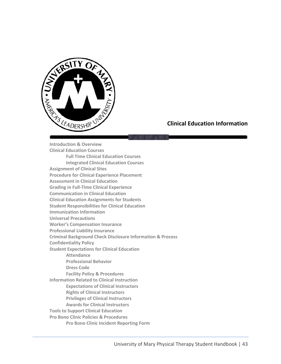

# **Clinical Education Information**

**Introduction & Overview Clinical Education Courses Full Time Clinical Education Courses Integrated Clinical Education Courses Assignment of Clinical Sites Procedure for Clinical Experience Placement Assessment in Clinical Education Grading in Full-Time Clinical Experience Communication in Clinical Education Clinical Education Assignments for Students Student Responsibilities for Clinical Education Immunization Information Universal Precautions Worker's Compensation Insurance Professional Liability Insurance Criminal Background Check Disclosure Information & Process Confidentiality Policy Student Expectations for Clinical Education Attendance Professional Behavior Dress Code Facility Policy & Procedures Information Related to Clinical Instruction Expectations of Clinical Instructors Rights of Clinical Instructors Privileges of Clinical Instructors Awards for Clinical Instructors Tools to Support Clinical Education Pro Bono Clinic Policies & Procedures Pro Bono Clinic Incident Reporting Form**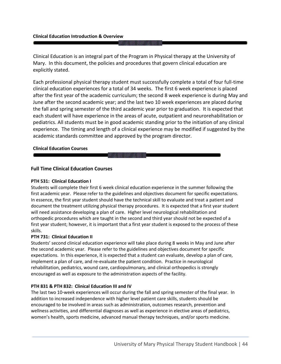#### **Clinical Education Introduction & Overview**

Clinical Education is an integral part of the Program in Physical therapy at the University of Mary. In this document, the policies and procedures that govern clinical education are explicitly stated.

Each professional physical therapy student must successfully complete a total of four full-time clinical education experiences for a total of 34 weeks. The first 6 week experience is placed after the first year of the academic curriculum; the second 8 week experience is during May and June after the second academic year; and the last two 10 week experiences are placed during the fall and spring semester of the third academic year prior to graduation. It is expected that each student will have experience in the areas of acute, outpatient and neurorehabilitation or pediatrics. All students must be in good academic standing prior to the initiation of any clinical experience. The timing and length of a clinical experience may be modified if suggested by the academic standards committee and approved by the program director.

#### **Clinical Education Courses**

## **Full Time Clinical Education Courses**

#### **PTH 531: Clinical Education I**

Students will complete their first 6 week clinical education experience in the summer following the first academic year. Please refer to the guidelines and objectives document for specific expectations. In essence, the first year student should have the technical skill to evaluate and treat a patient and document the treatment utilizing physical therapy procedures. It is expected that a first year student will need assistance developing a plan of care. Higher level neurological rehabilitation and orthopedic procedures which are taught in the second and third year should not be expected of a first year student; however, it is important that a first year student is exposed to the process of these skills.

### **PTH 731: Clinical Education II**

Students' second clinical education experience will take place during 8 weeks in May and June after the second academic year. Please refer to the guidelines and objectives document for specific expectations. In this experience, it is expected that a student can evaluate, develop a plan of care, implement a plan of care, and re-evaluate the patient condition. Practice in neurological rehabilitation, pediatrics, wound care, cardiopulmonary, and clinical orthopedics is strongly encouraged as well as exposure to the administration aspects of the facility.

### **PTH 831 & PTH 832: Clinical Education III and IV**

The last two 10-week experiences will occur during the fall and spring semester of the final year. In addition to increased independence with higher level patient care skills, students should be encouraged to be involved in areas such as administration, outcomes research, prevention and wellness activities, and differential diagnoses as well as experience in elective areas of pediatrics, women's health, sports medicine, advanced manual therapy techniques, and/or sports medicine.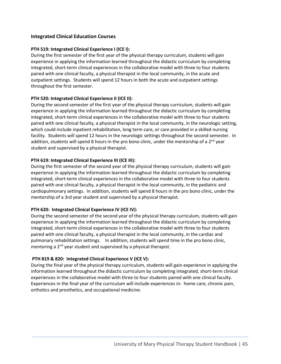## **Integrated Clinical Education Courses**

## **PTH 519: Integrated Clinical Experience I (ICE I):**

During the first semester of the first year of the physical therapy curriculum, students will gain experience in applying the information learned throughout the didactic curriculum by completing integrated, short-term clinical experiences in the collaborative model with three to four students paired with one clinical faculty, a physical therapist in the local community, in the acute and outpatient settings. Students will spend 12 hours in both the acute and outpatient settings throughout the first semester.

## **PTH 520: Integrated Clinical Experience II (ICE II):**

During the second semester of the first year of the physical therapy curriculum, students will gain experience in applying the information learned throughout the didactic curriculum by completing integrated, short-term clinical experiences in the collaborative model with three to four students paired with one clinical faculty, a physical therapist in the local community, in the neurologic setting, which could include inpatient rehabilitation, long term care, or care provided in a skilled nursing facility. Students will spend 12 hours in the neurologic settings throughout the second semester. In addition, students will spend 8 hours in the pro bono clinic, under the mentorship of a  $2<sup>nd</sup>$  year student and supervised by a physical therapist.

## **PTH 619: Integrated Clinical Experience III (ICE III):**

During the first semester of the second year of the physical therapy curriculum, students will gain experience in applying the information learned throughout the didactic curriculum by completing integrated, short-term clinical experiences in the collaborative model with three to four students paired with one clinical faculty, a physical therapist in the local community, in the pediatric and cardiopulmonary settings. In addition, students will spend 8 hours in the pro bono clinic, under the mentorship of a 3rd year student and supervised by a physical therapist.

## **PTH 620: Integrated Clinical Experience IV (ICE IV):**

During the second semester of the second year of the physical therapy curriculum, students will gain experience in applying the information learned throughout the didactic curriculum by completing integrated, short-term clinical experiences in the collaborative model with three to four students paired with one clinical faculty, a physical therapist in the local community, in the cardiac and pulmonary rehabilitation settings. In addition, students will spend time in the pro bono clinic, mentoring a  $2<sup>nd</sup>$  year student and supervised by a physical therapist.

## **PTH 819 & 820: Integrated Clinical Experience V (ICE V):**

During the final year of the physical therapy curriculum, students will gain experience in applying the information learned throughout the didactic curriculum by completing integrated, short-term clinical experiences in the collaborative model with three to four students paired with one clinical faculty. Experiences in the final year of the curriculum will include experiences in: home care, chronic pain, orthotics and prosthetics, and occupational medicine.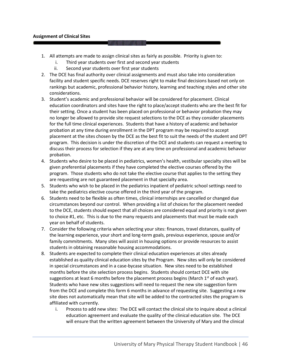## **Assignment of Clinical Sites**

- 1. All attempts are made to assign clinical sites as fairly as possible. Priority is given to:
	- i. Third year students over first and second year students
	- ii. Second year students over first year students
- 2. The DCE has final authority over clinical assignments and must also take into consideration facility and student specific needs. DCE reserves right to make final decisions based not only on rankings but academic, professional behavior history, learning and teaching styles and other site considerations.
- 3. Student's academic and professional behavior will be considered for placement. Clinical education coordinators and sites have the right to place/accept students who are the best fit for their setting. Once a student has been placed on professional or behavior probation they may no longer be allowed to provide site request selections to the DCE as they consider placements for the full time clinical experiences. Students that have a history of academic and behavior probation at any time during enrollment in the DPT program may be required to accept placement at the sites chosen by the DCE as the best fit to suit the needs of the student and DPT program. This decision is under the discretion of the DCE and students can request a meeting to discuss their process for selection if they are at any time on professional and academic behavior probation.
- 4. Students who desire to be placed in pediatrics, women's health, vestibular specialty sites will be given preferential placements if they have completed the elective courses offered by the program. Those students who do not take the elective course that applies to the setting they are requesting are not guaranteed placement in that specialty area.
- 5. Students who wish to be placed in the pediatrics inpatient of pediatric school settings need to take the pediatrics elective course offered in the third year of the program.
- 6. Students need to be flexible as often times, clinical internships are cancelled or changed due circumstances beyond our control. When providing a list of choices for the placement needed to the DCE, students should expect that all choices are considered equal and priority is not given to choice #1, etc. This is due to the many requests and placements that must be made each year on behalf of students.
- 7. Consider the following criteria when selecting your sites: finances, travel distances, quality of the learning experience, your short and long-term goals, previous experience, spouse and/or family commitments. Many sites will assist in housing options or provide resources to assist students in obtaining reasonable housing accommodations.
- 8. Students are expected to complete their clinical education experiences at sites already established as quality clinical education sites by the Program. New sites will only be considered in special circumstances and in a case-bycase situation. New sites need to be established months before the site selection process begins. Students should contact DCE with site suggestions at least 6 months before the placement process begins (March  $1<sup>st</sup>$  of each year). Students who have new sites suggestions will need to request the new site suggestion form from the DCE and complete this form 6 months in advance of requesting site. Suggesting a new site does not automatically mean that site will be added to the contracted sites the program is affiliated with currently.
	- i. Process to add new sites: The DCE will contact the clinical site to inquire about a clinical education agreement and evaluate the quality of the clinical education site. The DCE will ensure that the written agreement between the University of Mary and the clinical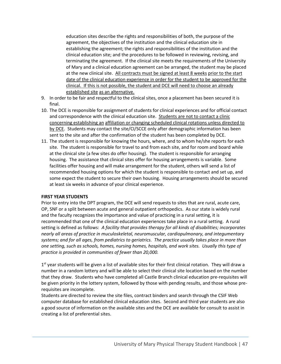education sites describe the rights and responsibilities of both, the purpose of the agreement, the objectives of the institution and the clinical education site in establishing the agreement; the rights and responsibilities of the institution and the clinical education site; and the procedures to be followed in reviewing, revising, and terminating the agreement. If the clinical site meets the requirements of the University of Mary and a clinical education agreement can be arranged, the student may be placed at the new clinical site. All contracts must be signed at least 8 weeks prior to the start date of the clinical education experience in order for the student to be approved for the clinical. If this is not possible, the student and DCE will need to choose an already established site as an alternative.

- 9. In order to be fair and respectful to the clinical sites, once a placement has been secured it is final.
- 10. The DCE is responsible for assignment of students for clinical experiences and for official contact and correspondence with the clinical education site. Students are not to contact a clinic concerning establishing an affiliation or changing scheduled clinical rotations unless directed to by DCE. Students may contact the site/CI/SCCE only after demographic information has been sent to the site and after the confirmation of the student has been completed by DCE.
- 11. The student is responsible for knowing the hours, where, and to whom he/she reports for each site. The student is responsible for travel to and from each site, and for room and board while at the clinical site (a few sites do offer housing). The student is responsible for arranging housing. The assistance that clinical sites offer for housing arrangements is variable. Some facilities offer housing and will make arrangement for the student, others will send a list of recommended housing options for which the student is responsible to contact and set up, and some expect the student to secure their own housing. Housing arrangements should be secured at least six weeks in advance of your clinical experience.

### **FIRST YEAR STUDENTS**

Prior to entry into the DPT program, the DCE will send requests to sites that are rural, acute care, OP, SNF or a split between acute and general outpatient orthopedics. As our state is widely rural and the faculty recognizes the importance and value of practicing in a rural setting, it is recommended that one of the clinical education experiences take place in a rural setting. A rural setting is defined as follows: *A facility that provides therapy for all kinds of disabilities; incorporates nearly all areas of practice in muculoskeletal, neuromuscular, cardiopulmonary, and integumentary systems; and for all ages, from pediatrics to geriatrics. The practice usually takes place in more than one setting, such as schools, homes, nursing homes, hospitals, and work sites. Usually this type of practice is provided in communities of fewer than 20,000.*

1<sup>st</sup> year students will be given a list of available sites for their first clinical rotation. They will draw a number in a random lottery and will be able to select their clinical site location based on the number that they draw. Students who have completed all Castle Branch clinical education pre-requisites will be given priority in the lottery system, followed by those with pending results, and those whose prerequisites are incomplete.

Students are directed to review the site files, contract binders and search through the CSIF Web computer database for established clinical education sites. Second and third year students are also a good source of information on the available sites and the DCE are available for consult to assist in creating a list of preferential sites.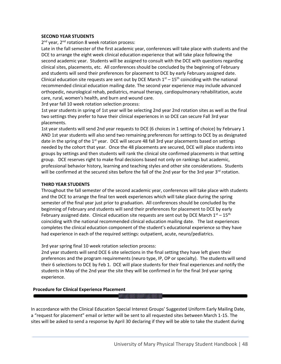#### **SECOND YEAR STUDENTS**

2<sup>nd</sup> year, 2<sup>nd</sup> rotation 8 week rotation process:

Late in the fall semester of the first academic year, conferences will take place with students and the DCE to arrange the eight week clinical education experience that will take place following the second academic year. Students will be assigned to consult with the DCE with questions regarding clinical sites, placements, etc. All conferences should be concluded by the beginning of February and students will send their preferences for placement to DCE by early February assigned date. Clinical education site requests are sent out by DCE March  $1<sup>st</sup> - 15<sup>th</sup>$  coinciding with the national recommended clinical education mailing date. The second year experience may include advanced orthopedic, neurological rehab, pediatrics, manual therapy, cardiopulmonary rehabilitation, acute care, rural, women's health, and burn and wound care.

3rd year fall 10 week rotation selection process:

1st year students in spring of 1st year will be selecting 2nd year 2nd rotation sites as well as the final two settings they prefer to have their clinical experiences in so DCE can secure Fall 3rd year placements.

1st year students will send 2nd year requests to DCE (6 choices in 1 setting of choice) by February 1 AND 1st year students will also send two remaining preferences for settings to DCE by as designated date in the spring of the  $1<sup>st</sup>$  year. DCE will secure 48 fall 3rd year placements based on settings needed by the cohort that year. Once the 48 placements are secured, DCE will place students into groups by settings and then students will rank the clinical site confirmed placements in that setting group. DCE reserves right to make final decisions based not only on rankings but academic, professional behavior history, learning and teaching styles and other site considerations. Students will be confirmed at the secured sites before the fall of the 2nd year for the 3rd year 3<sup>rd</sup> rotation.

### **THIRD YEAR STUDENTS**

Throughout the fall semester of the second academic year, conferences will take place with students and the DCE to arrange the final ten week experiences which will take place during the spring semester of the final year just prior to graduation. All conferences should be concluded by the beginning of February and students will send their preferences for placement to DCE by early February assigned date. Clinical education site requests are sent out by DCE March  $1^{st} - 15^{th}$ coinciding with the national recommended clinical education mailing date. The last experiences completes the clinical education component of the student's educational experience so they have had experience in each of the required settings: outpatient, acute, neuro/pediatrics.

3rd year spring final 10 week rotation selection process:

2nd year students will send DCE 6 site selections in the final setting they have left given their preferences and the program requirements (neuro type, IP, OP or specialty). The students will send their 6 selections to DCE by Feb 1. DCE will place students for their final experiences and notify the students in May of the 2nd year the site they will be confirmed in for the final 3rd year spring experience.

### **Procedure for Clinical Experience Placement**

In accordance with the Clinical Education Special Interest Groups' Suggested Uniform Early Mailing Date, a "request for placement" email or letter will be sent to all requested sites between March 1-15. The sites will be asked to send a response by April 30 declaring if they will be able to take the student during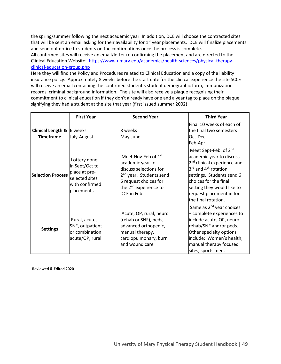the spring/summer following the next academic year. In addition, DCE will choose the contracted sites that will be sent an email asking for their availability for  $1<sup>st</sup>$  year placements. DCE will finalize placements and send out notice to students on the confirmations once the process is complete.

All confirmed sites will receive an email/letter re-confirming the placement and are directed to the Clinical Education Website: [https://www.umary.edu/academics/health-sciences/physical-therapy](https://www.umary.edu/academics/health-sciences/physical-therapy-clinical-education-group.php)[clinical-education-group.php](https://www.umary.edu/academics/health-sciences/physical-therapy-clinical-education-group.php)

Here they will find the Policy and Procedures related to Clinical Education and a copy of the liability insurance policy. Approximately 8 weeks before the start date for the clinical experience the site SCCE will receive an email containing the confirmed student's student demographic form, immunization records, criminal background information. The site will also receive a plaque recognizing their commitment to clinical education if they don't already have one and a year tag to place on the plaque signifying they had a student at the site that year (first issued summer 2002)

|                                                                             | <b>First Year</b>                                                                                 | <b>Second Year</b>                                                                                                                                                                               | <b>Third Year</b>                                                                                                                                                                                                                                                                               |
|-----------------------------------------------------------------------------|---------------------------------------------------------------------------------------------------|--------------------------------------------------------------------------------------------------------------------------------------------------------------------------------------------------|-------------------------------------------------------------------------------------------------------------------------------------------------------------------------------------------------------------------------------------------------------------------------------------------------|
| <b>Clinical Length &amp; <math>\vert</math></b> 6 weeks<br><b>Timeframe</b> | July-August                                                                                       | 8 weeks<br>May-June                                                                                                                                                                              | Final 10 weeks of each of<br>the final two semesters<br>Oct-Dec<br>Feb-Apr                                                                                                                                                                                                                      |
| <b>Selection Process</b>                                                    | Lottery done<br>in Sept/Oct to<br>place at pre-<br>selected sites<br>with confirmed<br>placements | Meet Nov-Feb of 1 <sup>st</sup><br>academic year to<br>discuss selections for<br>2 <sup>nd</sup> year. Students send<br>6 request choices for<br>the 2 <sup>nd</sup> experience to<br>DCE in Feb | Meet Sept-Feb. of 2 <sup>nd</sup><br>academic year to discuss<br>2 <sup>nd</sup> clinical experience and<br>$3^{\text{rd}}$ and 4 <sup>th</sup> rotation<br>settings. Students send 6<br>choices for the final<br>setting they would like to<br>request placement in for<br>the final rotation. |
| <b>Settings</b>                                                             | Rural, acute,<br>SNF, outpatient<br>or combination<br>acute/OP, rural                             | Acute, OP, rural, neuro<br>(rehab or SNF), peds,<br>advanced orthopedic,<br>manual therapy,<br>cardiopulmonary, burn<br>and wound care                                                           | Same as 2 <sup>nd</sup> year choices<br>- complete experiences to<br>include acute, OP, neuro<br>rehab/SNF and/or peds.<br>Other specialty options<br>include: Women's health,<br>manual therapy focused<br>sites, sports med.                                                                  |

**Reviewed & Edited 2020**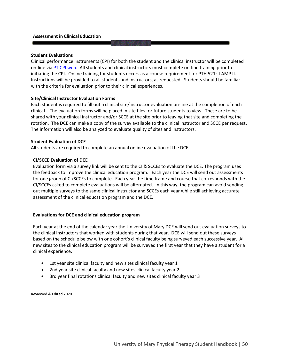#### **Student Evaluations**

Clinical performance instruments (CPI) for both the student and the clinical instructor will be completed on-line vi[a PT CPI web.](https://cpi2.amsapps.com/user_session/new) All students and clinical instructors must complete on-line training prior to initiating the CPI. Online training for students occurs as a course requirement for PTH 521: LAMP II. Instructions will be provided to all students and instructors, as requested. Students should be familiar with the criteria for evaluation prior to their clinical experiences.

#### **Site/Clinical Instructor Evaluation Forms**

Each student is required to fill out a clinical site/instructor evaluation on-line at the completion of each clinical. The evaluation forms will be placed in site files for future students to view. These are to be shared with your clinical instructor and/or SCCE at the site prior to leaving that site and completing the rotation. The DCE can make a copy of the survey available to the clinical instructor and SCCE per request. The information will also be analyzed to evaluate quality of sites and instructors.

#### **Student Evaluation of DCE**

All students are required to complete an annual online evaluation of the DCE.

### **CI/SCCE Evaluation of DCE**

Evaluation form via a survey link will be sent to the CI & SCCEs to evaluate the DCE. The program uses the feedback to improve the clinical education program. Each year the DCE will send out assessments for one group of CI/SCCEs to complete. Each year the time frame and course that corresponds with the CI/SCCEs asked to complete evaluations will be alternated. In this way, the program can avoid sending out multiple surveys to the same clinical instructor and SCCEs each year while still achieving accurate assessment of the clinical education program and the DCE.

### **Evaluations for DCE and clinical education program**

Each year at the end of the calendar year the University of Mary DCE will send out evaluation surveys to the clinical instructors that worked with students during that year. DCE will send out these surveys based on the schedule below with one cohort's clinical faculty being surveyed each successive year. All new sites to the clinical education program will be surveyed the first year that they have a student for a clinical experience.

- 1st year site clinical faculty and new sites clinical faculty year 1
- 2nd year site clinical faculty and new sites clinical faculty year 2
- 3rd year final rotations clinical faculty and new sites clinical faculty year 3

Reviewed & Edited 2020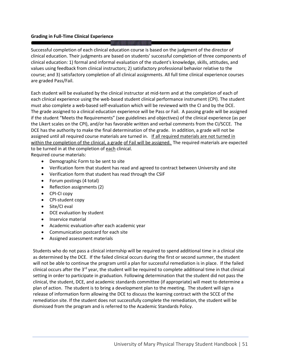## **Grading in Full-Time Clinical Experience**

Successful completion of each clinical education course is based on the judgment of the director of clinical education. Their judgments are based on students' successful completion of three components of clinical education: 1) formal and informal evaluation of the student's knowledge, skills, attitudes, and values using feedback from clinical instructors; 2) satisfactory professional behavior relative to the course; and 3) satisfactory completion of all clinical assignments. All full time clinical experience courses are graded Pass/Fail.

Each student will be evaluated by the clinical instructor at mid-term and at the completion of each of each clinical experience using the web-based student clinical performance instrument (CPI). The student must also complete a web-based self-evaluation which will be reviewed with the CI and by the DCE. The grade assigned to a clinical education experience will be Pass or Fail. A passing grade will be assigned if the student "Meets the Requirements" (see guidelines and objectives) of the clinical experience (as per the Likert scales on the CPI), and/or has favorable written and verbal comments from the CI/SCCE. The DCE has the authority to make the final determination of the grade. In addition, a grade will not be assigned until all required course materials are turned in. If all required materials are not turned in within the completion of the clinical, a grade of Fail will be assigned. The required materials are expected to be turned in at the completion of each clinical.

Required course materials:

- Demographic Form to be sent to site
- Verification form that student has read and agreed to contract between University and site
- Verification form that student has read through the CSIF
- Forum postings (4 total)
- Reflection assignments (2)
- CPI-CI copy
- CPI-student copy
- Site/CI eval
- DCE evaluation by student
- Inservice material
- Academic evaluation-after each academic year
- Communication postcard for each site
- Assigned assessment materials

Students who do not pass a clinical internship will be required to spend additional time in a clinical site as determined by the DCE. If the failed clinical occurs during the first or second summer, the student will not be able to continue the program until a plan for successful remediation is in place. If the failed clinical occurs after the 3<sup>rd</sup> year, the student will be required to complete additional time in that clinical setting in order to participate in graduation. Following determination that the student did not pass the clinical, the student, DCE, and academic standards committee (if appropriate) will meet to determine a plan of action. The student is to bring a development plan to the meeting. The student will sign a release of information form allowing the DCE to discuss the learning contract with the SCCE of the remediation site. If the student does not successfully complete the remediation, the student will be dismissed from the program and is referred to the Academic Standards Policy.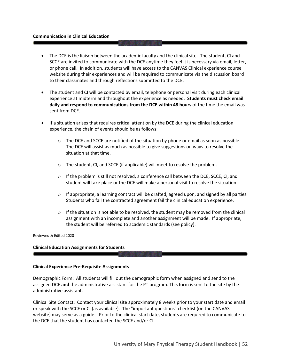#### **Communication in Clinical Education**

- The DCE is the liaison between the academic faculty and the clinical site. The student, CI and SCCE are invited to communicate with the DCE anytime they feel it is necessary via email, letter, or phone call. In addition, students will have access to the CANVAS Clinical experience course website during their experiences and will be required to communicate via the discussion board to their classmates and through reflections submitted to the DCE.
- The student and CI will be contacted by email, telephone or personal visit during each clinical experience at midterm and throughout the experience as needed. **Students must check email daily and respond to communications from the DCE within 48 hours** of the time the email was sent from DCE.
- If a situation arises that requires critical attention by the DCE during the clinical education experience, the chain of events should be as follows:
	- $\circ$  The DCE and SCCE are notified of the situation by phone or email as soon as possible. The DCE will assist as much as possible to give suggestions on ways to resolve the situation at that time.
	- o The student, CI, and SCCE (if applicable) will meet to resolve the problem.
	- $\circ$  If the problem is still not resolved, a conference call between the DCE, SCCE, CI, and student will take place or the DCE will make a personal visit to resolve the situation.
	- $\circ$  If appropriate, a learning contract will be drafted, agreed upon, and signed by all parties. Students who fail the contracted agreement fail the clinical education experience.
	- $\circ$  If the situation is not able to be resolved, the student may be removed from the clinical assignment with an incomplete and another assignment will be made. If appropriate, the student will be referred to academic standards (see policy).

Reviewed & Edited 2020

#### **Clinical Education Assignments for Students**

#### **Clinical Experience Pre-Requisite Assignments**

Demographic Form: All students will fill out the demographic form when assigned and send to the assigned DCE **and** the administrative assistant for the PT program. This form is sent to the site by the administrative assistant.

Clinical Site Contact: Contact your clinical site approximately 8 weeks prior to your start date and email or speak with the SCCE or CI (as available). The "important questions" checklist (on the CANVAS website) may serve as a guide. Prior to the clinical start date, students are required to communicate to the DCE that the student has contacted the SCCE and/or CI.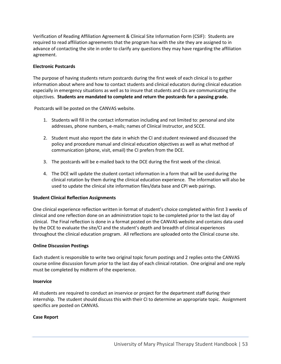Verification of Reading Affiliation Agreement & Clinical Site Information Form (CSIF): Students are required to read affiliation agreements that the program has with the site they are assigned to in advance of contacting the site in order to clarify any questions they may have regarding the affiliation agreement.

## **Electronic Postcards**

The purpose of having students return postcards during the first week of each clinical is to gather information about where and how to contact students and clinical educators during clinical education especially in emergency situations as well as to insure that students and CIs are communicating the objectives. **Students are mandated to complete and return the postcards for a passing grade.** 

Postcards will be posted on the CANVAS website.

- 1. Students will fill in the contact information including and not limited to: personal and site addresses, phone numbers, e-mails; names of Clinical Instructor, and SCCE.
- 2. Student must also report the date in which the CI and student reviewed and discussed the policy and procedure manual and clinical education objectives as well as what method of communication (phone, visit, email) the CI prefers from the DCE.
- 3. The postcards will be e-mailed back to the DCE during the first week of the clinical.
- 4. The DCE will update the student contact information in a form that will be used during the clinical rotation by them during the clinical education experience. The information will also be used to update the clinical site information files/data base and CPI web pairings.

### **Student Clinical Reflection Assignments**

One clinical experience reflection written in format of student's choice completed within first 3 weeks of clinical and one reflection done on an administration topic to be completed prior to the last day of clinical. The Final reflection is done in a format posted on the CANVAS website and contains data used by the DCE to evaluate the site/CI and the student's depth and breadth of clinical experiences throughout the clinical education program. All reflections are uploaded onto the Clinical course site.

### **Online Discussion Postings**

Each student is responsible to write two original topic forum postings and 2 replies onto the CANVAS course online discussion forum prior to the last day of each clinical rotation. One original and one reply must be completed by midterm of the experience.

### **Inservice**

All students are required to conduct an inservice or project for the department staff during their internship. The student should discuss this with their CI to determine an appropriate topic. Assignment specifics are posted on CANVAS.

### **Case Report**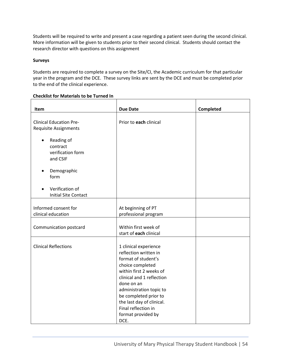Students will be required to write and present a case regarding a patient seen during the second clinical. More information will be given to students prior to their second clinical. Students should contact the research director with questions on this assignment

## **Surveys**

Students are required to complete a survey on the Site/CI, the Academic curriculum for that particular year in the program and the DCE. These survey links are sent by the DCE and must be completed prior to the end of the clinical experience.

| Item                                                                 | <b>Due Date</b>                                                                                                                                                                                                                                                                                       | Completed |
|----------------------------------------------------------------------|-------------------------------------------------------------------------------------------------------------------------------------------------------------------------------------------------------------------------------------------------------------------------------------------------------|-----------|
|                                                                      |                                                                                                                                                                                                                                                                                                       |           |
| <b>Clinical Education Pre-</b><br><b>Requisite Assignments</b>       | Prior to each clinical                                                                                                                                                                                                                                                                                |           |
| Reading of<br>$\bullet$<br>contract<br>verification form<br>and CSIF |                                                                                                                                                                                                                                                                                                       |           |
| Demographic<br>form                                                  |                                                                                                                                                                                                                                                                                                       |           |
| Verification of<br><b>Initial Site Contact</b>                       |                                                                                                                                                                                                                                                                                                       |           |
| Informed consent for<br>clinical education                           | At beginning of PT<br>professional program                                                                                                                                                                                                                                                            |           |
| Communication postcard                                               | Within first week of<br>start of each clinical                                                                                                                                                                                                                                                        |           |
| <b>Clinical Reflections</b>                                          | 1 clinical experience<br>reflection written in<br>format of student's<br>choice completed<br>within first 2 weeks of<br>clinical and 1 reflection<br>done on an<br>administration topic to<br>be completed prior to<br>the last day of clinical.<br>Final reflection in<br>format provided by<br>DCE. |           |

### **Checklist for Materials to be Turned In**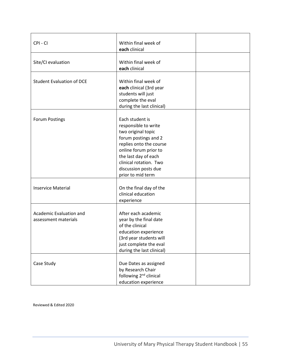| CPI-CI                                          | Within final week of<br>each clinical                                                                                                                                                                                                    |  |
|-------------------------------------------------|------------------------------------------------------------------------------------------------------------------------------------------------------------------------------------------------------------------------------------------|--|
| Site/CI evaluation                              | Within final week of<br>each clinical                                                                                                                                                                                                    |  |
| <b>Student Evaluation of DCE</b>                | Within final week of<br>each clinical (3rd year<br>students will just<br>complete the eval<br>during the last clinical)                                                                                                                  |  |
| <b>Forum Postings</b>                           | Each student is<br>responsible to write<br>two original topic<br>forum postings and 2<br>replies onto the course<br>online forum prior to<br>the last day of each<br>clinical rotation. Two<br>discussion posts due<br>prior to mid term |  |
| <b>Inservice Material</b>                       | On the final day of the<br>clinical education<br>experience                                                                                                                                                                              |  |
| Academic Evaluation and<br>assessment materials | After each academic<br>year by the final date<br>of the clinical<br>education experience<br>(3rd year students will<br>just complete the eval<br>during the last clinical)                                                               |  |
| Case Study                                      | Due Dates as assigned<br>by Research Chair<br>following 2 <sup>nd</sup> clinical<br>education experience                                                                                                                                 |  |

Reviewed & Edited 2020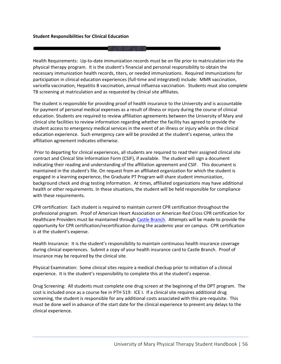Health Requirements: Up-to-date immunization records must be on file prior to matriculation into the physical therapy program. It is the student's financial and personal responsibility to obtain the necessary immunization health records, titers, or needed immunizations. Required immunizations for participation in clinical education experiences (full-time and integrated) include: MMR vaccination, varicella vaccination, Hepatitis B vaccination, annual influenza vaccination. Students must also complete TB screening at matriculation and as requested by clinical site affiliates.

The student is responsible for providing proof of health insurance to the University and is accountable for payment of personal medical expenses as a result of illness or injury during the course of clinical education. Students are required to review affiliation agreements between the University of Mary and clinical site facilities to review information regarding whether the facility has agreed to provide the student access to emergency medical services in the event of an illness or injury while on the clinical education experience. Such emergency care will be provided at the student's expense, unless the affiliation agreement indicates otherwise.

Prior to departing for clinical experiences, all students are required to read their assigned clinical site contract and Clinical Site Information Form (CSIF), if available. The student will sign a document indicating their reading and understanding of the affiliation agreement and CSIF. This document is maintained in the student's file. On request from an affiliated organization for which the student is engaged in a learning experience, the Graduate PT Program will share student immunization, background check and drug testing information. At times, affiliated organizations may have additional health or other requirements. In these situations, the student will be held responsible for compliance with these requirements.

CPR certification: Each student is required to maintain current CPR certification throughout the professional program. Proof of American Heart Association or American Red Cross CPR certification for Healthcare Providers must be maintained throug[h Castle Branch.](http://www.castlebranch.com/) Attempts will be made to provide the opportunity for CPR certification/recertification during the academic year on campus. CPR certification is at the student's expense.

Health Insurance: It is the student's responsibility to maintain continuous health insurance coverage during clinical experiences. Submit a copy of your health insurance card to Castle Branch. Proof of insurance may be required by the clinical site.

Physical Examination: Some clinical sites require a medical checkup prior to initiation of a clinical experience. It is the student's responsibility to complete this at the student's expense.

Drug Screening: All students must complete one drug screen at the beginning of the DPT program. The cost is included once as a course fee in PTH 519: ICE I. If a clinical site requires additional drug screening, the student is responsible for any additional costs associated with this pre-requisite. This must be done well in advance of the start date for the clinical experience to prevent any delays to the clinical experience.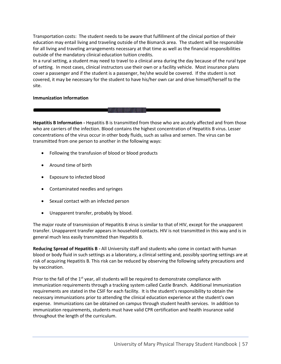Transportation costs: The student needs to be aware that fulfillment of the clinical portion of their education may entail living and traveling outside of the Bismarck area. The student will be responsible for all living and traveling arrangements necessary at that time as well as the financial responsibilities outside of the mandatory clinical education tuition credits.

In a rural setting, a student may need to travel to a clinical area during the day because of the rural type of setting. In most cases, clinical instructors use their own or a facility vehicle. Most insurance plans cover a passenger and if the student is a passenger, he/she would be covered. If the student is not covered, it may be necessary for the student to have his/her own car and drive himself/herself to the site.

### **Immunization Information**

**Hepatitis B Information -** Hepatitis B is transmitted from those who are acutely affected and from those who are carriers of the infection. Blood contains the highest concentration of Hepatitis B virus. Lesser concentrations of the virus occur in other body fluids, such as saliva and semen. The virus can be transmitted from one person to another in the following ways:

- Following the transfusion of blood or blood products
- Around time of birth
- Exposure to infected blood
- Contaminated needles and syringes
- Sexual contact with an infected person
- Unapparent transfer, probably by blood.

The major route of transmission of Hepatitis B virus is similar to that of HIV, except for the unapparent transfer. Unapparent transfer appears in household contacts. HIV is not transmitted in this way and is in general much less easily transmitted than Hepatitis B.

**Reducing Spread of Hepatitis B -** All University staff and students who come in contact with human blood or body fluid in such settings as a laboratory, a clinical setting and, possibly sporting settings are at risk of acquiring Hepatitis B. This risk can be reduced by observing the following safety precautions and by vaccination.

Prior to the fall of the  $1<sup>st</sup>$  year, all students will be required to demonstrate compliance with immunization requirements through a tracking system called Castle Branch. Additional Immunization requirements are stated in the CSIF for each facility. It is the student's responsibility to obtain the necessary immunizations prior to attending the clinical education experience at the student's own expense. Immunizations can be obtained on campus through student health services. In addition to immunization requirements, students must have valid CPR certification and health insurance valid throughout the length of the curriculum.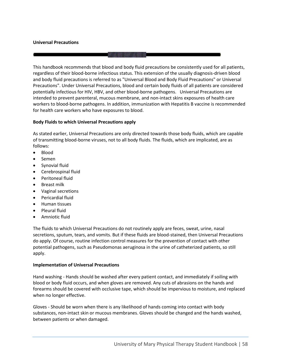#### **Universal Precautions**

This handbook recommends that blood and body fluid precautions be consistently used for all patients, regardless of their blood-borne infectious status. This extension of the usually diagnosis-driven blood and body fluid precautions is referred to as "Universal Blood and Body Fluid Precautions" or Universal Precautions". Under Universal Precautions, blood and certain body fluids of all patients are considered potentially infectious for HIV, HBV, and other blood-borne pathogens. Universal Precautions are intended to prevent parenteral, mucous membrane, and non-intact skins exposures of health care workers to blood-borne pathogens. In addition, immunization with Hepatitis B vaccine is recommended for health care workers who have exposures to blood.

#### **Body Fluids to which Universal Precautions apply**

As stated earlier, Universal Precautions are only directed towards those body fluids, which are capable of transmitting blood-borne viruses, not to all body fluids. The fluids, which are implicated, are as follows:

- Blood
- Semen
- Synovial fluid
- Cerebrospinal fluid
- Peritoneal fluid
- Breast milk
- Vaginal secretions
- Pericardial fluid
- Human tissues
- Pleural fluid
- Amniotic fluid

The fluids to which Universal Precautions do not routinely apply are feces, sweat, urine, nasal secretions, sputum, tears, and vomits. But if these fluids are blood-stained, then Universal Precautions do apply. Of course, routine infection control measures for the prevention of contact with other potential pathogens, such as Pseudomonas aeruginosa in the urine of catheterized patients, so still apply.

#### **Implementation of Universal Precautions**

Hand washing - Hands should be washed after every patient contact, and immediately if soiling with blood or body fluid occurs, and when gloves are removed. Any cuts of abrasions on the hands and forearms should be covered with occlusive tape, which should be impervious to moisture, and replaced when no longer effective.

Gloves - Should be worn when there is any likelihood of hands coming into contact with body substances, non-intact skin or mucous membranes. Gloves should be changed and the hands washed, between patients or when damaged.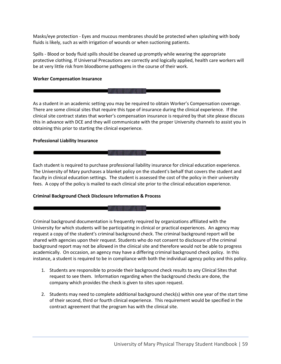Masks/eye protection - Eyes and mucous membranes should be protected when splashing with body fluids is likely, such as with irrigation of wounds or when suctioning patients.

Spills - Blood or body fluid spills should be cleaned up promptly while wearing the appropriate protective clothing. If Universal Precautions are correctly and logically applied, health care workers will be at very little risk from bloodborne pathogens in the course of their work.

#### **Worker Compensation Insurance**

As a student in an academic setting you may be required to obtain Worker's Compensation coverage. There are some clinical sites that require this type of insurance during the clinical experience. If the clinical site contract states that worker's compensation insurance is required by that site please discuss this in advance with DCE and they will communicate with the proper University channels to assist you in obtaining this prior to starting the clinical experience.

#### **Professional Liability Insurance**

Each student is required to purchase professional liability insurance for clinical education experience. The University of Mary purchases a blanket policy on the student's behalf that covers the student and faculty in clinical education settings. The student is assessed the cost of the policy in their university fees. A copy of the policy is mailed to each clinical site prior to the clinical education experience.

### **Criminal Background Check Disclosure Information & Process**

Criminal background documentation is frequently required by organizations affiliated with the University for which students will be participating in clinical or practical experiences. An agency may request a copy of the student's criminal background check. The criminal background report will be shared with agencies upon their request. Students who do not consent to disclosure of the criminal background report may not be allowed in the clinical site and therefore would not be able to progress academically. On occasion, an agency may have a differing criminal background check policy. In this instance, a student is required to be in compliance with both the individual agency policy and this policy.

- 1. Students are responsible to provide their background check results to any Clinical Sites that request to see them. Information regarding when the background checks are done, the company which provides the check is given to sites upon request.
- 2. Students may need to complete additional background check(s) within one year of the start time of their second, third or fourth clinical experience. This requirement would be specified in the contract agreement that the program has with the clinical site.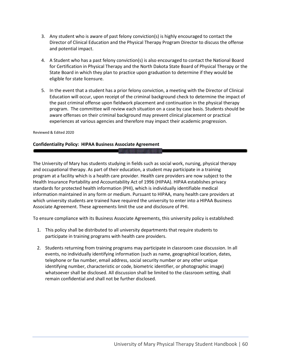- 3. Any student who is aware of past felony conviction(s) is highly encouraged to contact the Director of Clinical Education and the Physical Therapy Program Director to discuss the offense and potential impact.
- 4. A Student who has a past felony conviction(s) is also encouraged to contact the National Board for Certification in Physical Therapy and the North Dakota State Board of Physical Therapy or the State Board in which they plan to practice upon graduation to determine if they would be eligible for state licensure.
- 5. In the event that a student has a prior felony conviction, a meeting with the Director of Clinical Education will occur, upon receipt of the criminal background check to determine the impact of the past criminal offense upon fieldwork placement and continuation in the physical therapy program. The committee will review each situation on a case by case basis. Students should be aware offenses on their criminal background may prevent clinical placement or practical experiences at various agencies and therefore may impact their academic progression.

#### Reviewed & Edited 2020

## **Confidentiality Policy: HIPAA Business Associate Agreement**

The University of Mary has students studying in fields such as social work, nursing, physical therapy and occupational therapy. As part of their education, a student may participate in a training program at a facility which is a health care provider. Health care providers are now subject to the Health Insurance Portability and Accountability Act of 1996 (HIPAA). HIPAA establishes privacy standards for protected health information (PHI), which is individually identifiable medical information maintained in any form or medium. Pursuant to HIPAA, many health care providers at which university students are trained have required the university to enter into a HIPAA Business Associate Agreement. These agreements limit the use and disclosure of PHI.

To ensure compliance with its Business Associate Agreements, this university policy is established:

- 1. This policy shall be distributed to all university departments that require students to participate in training programs with health care providers.
- 2. Students returning from training programs may participate in classroom case discussion. In all events, no individually identifying information (such as name, geographical location, dates, telephone or fax number, email address, social security number or any other unique identifying number, characteristic or code, biometric identifier, or photographic image) whatsoever shall be disclosed. All discussion shall be limited to the classroom setting, shall remain confidential and shall not be further disclosed.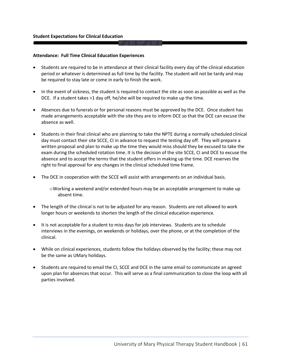#### **Attendance: Full Time Clinical Education Experiences**

- Students are required to be in attendance at their clinical facility every day of the clinical education period or whatever is determined as full time by the facility. The student will not be tardy and may be required to stay late or come in early to finish the work.
- In the event of sickness, the student is required to contact the site as soon as possible as well as the DCE. If a student takes >1 day off, he/she will be required to make up the time.
- Absences due to funerals or for personal reasons must be approved by the DCE. Once student has made arrangements acceptable with the site they are to inform DCE so that the DCE can excuse the absence as well.
- Students in their final clinical who are planning to take the NPTE during a normally scheduled clinical day must contact their site SCCE, CI in advance to request the testing day off. They will prepare a written proposal and plan to make up the time they would miss should they be excused to take the exam during the scheduled rotation time. It is the decision of the site SCCE, CI and DCE to excuse the absence and to accept the terms that the student offers in making up the time. DCE reserves the right to final approval for any changes in the clinical scheduled time frame.
- The DCE in cooperation with the SCCE will assist with arrangements on an individual basis.

oWorking a weekend and/or extended hours may be an acceptable arrangement to make up absent time.

- The length of the clinical is not to be adjusted for any reason. Students are not allowed to work longer hours or weekends to shorten the length of the clinical education experience.
- It is not acceptable for a student to miss days for job interviews. Students are to schedule interviews in the evenings, on weekends or holidays, over the phone, or at the completion of the clinical.
- While on clinical experiences, students follow the holidays observed by the facility; these may not be the same as UMary holidays.
- Students are required to email the CI, SCCE and DCE in the same email to communicate an agreed upon plan for absences that occur. This will serve as a final communication to close the loop with all parties involved.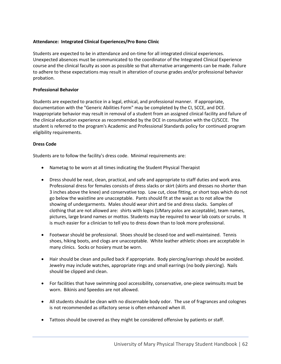## **Attendance: Integrated Clinical Experiences/Pro Bono Clinic**

Students are expected to be in attendance and on-time for all integrated clinical experiences. Unexpected absences must be communicated to the coordinator of the Integrated Clinical Experience course and the clinical faculty as soon as possible so that alternative arrangements can be made. Failure to adhere to these expectations may result in alteration of course grades and/or professional behavior probation.

## **Professional Behavior**

Students are expected to practice in a legal, ethical, and professional manner. If appropriate, documentation with the "Generic Abilities Form" may be completed by the CI, SCCE, and DCE. Inappropriate behavior may result in removal of a student from an assigned clinical facility and failure of the clinical education experience as recommended by the DCE in consultation with the CI/SCCE. The student is referred to the program's Academic and Professional Standards policy for continued program eligibility requirements.

### **Dress Code**

Students are to follow the facility's dress code. Minimal requirements are:

- Nametag to be worn at all times indicating the Student Physical Therapist
- Dress should be neat, clean, practical, and safe and appropriate to staff duties and work area. Professional dress for females consists of dress slacks or skirt (skirts and dresses no shorter than 3 inches above the knee) and conservative top. Low cut, close fitting, or short tops which do not go below the waistline are unacceptable. Pants should fit at the waist as to not allow the showing of undergarments. Males should wear shirt and tie and dress slacks. Samples of clothing that are not allowed are: shirts with logos (UMary polos are acceptable), team names, pictures, large brand names or mottos. Students may be required to wear lab coats or scrubs. It is much easier for a clinician to tell you to dress down than to look more professional.
- Footwear should be professional. Shoes should be closed-toe and well-maintained. Tennis shoes, hiking boots, and clogs are unacceptable. White leather athletic shoes are acceptable in many clinics. Socks or hosiery must be worn.
- Hair should be clean and pulled back if appropriate. Body piercing/earrings should be avoided. Jewelry may include watches, appropriate rings and small earrings (no body piercing). Nails should be clipped and clean.
- For facilities that have swimming pool accessibility, conservative, one-piece swimsuits must be worn. Bikinis and Speedos are not allowed.
- All students should be clean with no discernable body odor. The use of fragrances and colognes is not recommended as olfactory sense is often enhanced when ill.
- Tattoos should be covered as they might be considered offensive by patients or staff.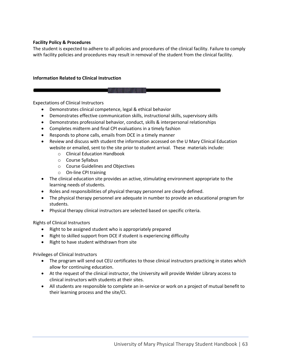## **Facility Policy & Procedures**

The student is expected to adhere to all policies and procedures of the clinical facility. Failure to comply with facility policies and procedures may result in removal of the student from the clinical facility.

## **Information Related to Clinical Instruction**

Expectations of Clinical Instructors

- Demonstrates clinical competence, legal & ethical behavior
- Demonstrates effective communication skills, instructional skills, supervisory skills

E WE TRANSVILLE WE THAT THE

- Demonstrates professional behavior, conduct, skills & interpersonal relationships
- Completes midterm and final CPI evaluations in a timely fashion
- Responds to phone calls, emails from DCE in a timely manner
- Review and discuss with student the information accessed on the U Mary Clinical Education website or emailed, sent to the site prior to student arrival. These materials include:
	- o Clinical Education Handbook
	- o Course Syllabus
	- o Course Guidelines and Objectives
	- o On-line CPI training
- The clinical education site provides an active, stimulating environment appropriate to the learning needs of students.
- Roles and responsibilities of physical therapy personnel are clearly defined.
- The physical therapy personnel are adequate in number to provide an educational program for students.
- Physical therapy clinical instructors are selected based on specific criteria.

Rights of Clinical Instructors

- Right to be assigned student who is appropriately prepared
- Right to skilled support from DCE if student is experiencing difficulty
- Right to have student withdrawn from site

Privileges of Clinical Instructors

- The program will send out CEU certificates to those clinical instructors practicing in states which allow for continuing education.
- At the request of the clinical instructor, the University will provide Welder Library access to clinical instructors with students at their sites.
- All students are responsible to complete an in-service or work on a project of mutual benefit to their learning process and the site/CI.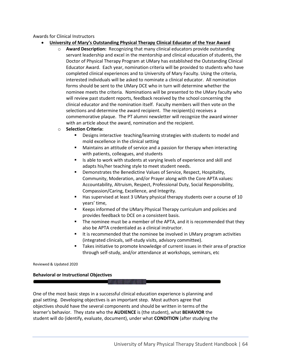## Awards for Clinical Instructors

- **University of Mary's Outstanding Physical Therapy Clinical Educator of the Year Award**
	- o **Award Description:** Recognizing that many clinical educators provide outstanding servant leadership and excel in the mentorship and clinical education of students, the Doctor of Physical Therapy Program at UMary has established the Outstanding Clinical Educator Award. Each year, nomination criteria will be provided to students who have completed clinical experiences and to University of Mary Faculty. Using the criteria, interested individuals will be asked to nominate a clinical educator. All nomination forms should be sent to the UMary DCE who in turn will determine whether the nominee meets the criteria. Nominations will be presented to the UMary faculty who will review past student reports, feedback received by the school concerning the clinical educator and the nomination itself. Faculty members will then vote on the selections and determine the award recipient. The recipient(s) receives a commemorative plaque. The PT alumni newsletter will recognize the award winner with an article about the award, nomination and the recipient.
	- o **Selection Criteria:**
		- Designs interactive teaching/learning strategies with students to model and mold excellence in the clinical setting
		- Maintains an attitude of service and a passion for therapy when interacting with patients, colleagues, and students
		- Is able to work with students at varying levels of experience and skill and adapts his/her teaching style to meet student needs.
		- Demonstrates the Benedictine Values of Service, Respect, Hospitality, Community, Moderation, and/or Prayer along with the Core APTA values: Accountability, Altruism, Respect, Professional Duty, Social Responsibility, Compassion/Caring, Excellence, and Integrity.
		- Has supervised at least 3 UMary physical therapy students over a course of 10 years' time,
		- Keeps informed of the UMary Physical Therapy curriculum and policies and provides feedback to DCE on a consistent basis.
		- The nominee must be a member of the APTA, and it is recommended that they also be APTA credentialed as a clinical instructor.
		- It is recommended that the nominee be involved in UMary program activities (integrated clinicals, self-study visits, advisory committee).
		- Takes initiative to promote knowledge of current issues in their area of practice through self-study, and/or attendance at workshops, seminars, etc

Reviewed & Updated 2020

### **Behavioral or Instructional Objectives**

One of the most basic steps in a successful clinical education experience is planning and goal setting. Developing objectives is an important step. Most authors agree that objectives should have the several components and should be written in terms of the learner's behavior. They state who the **AUDIENCE** is (the student), what **BEHAVIOR** the student will do (identify, evaluate, document), under what **CONDITION** (after studying the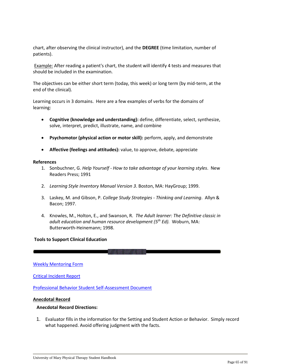chart, after observing the clinical instructor), and the **DEGREE** (time limitation, number of patients).

Example: After reading a patient's chart, the student will identify 4 tests and measures that should be included in the examination.

The objectives can be either short term (today, this week) or long term (by mid-term, at the end of the clinical).

Learning occurs in 3 domains. Here are a few examples of verbs for the domains of learning:

- **Cognitive (knowledge and understanding):** define, differentiate, select, synthesize, solve, interpret, predict, illustrate, name, and combine
- **Psychomotor (physical action or motor skill):** perform, apply, and demonstrate
- **Affective (feelings and attitudes):** value, to approve, debate, appreciate

#### **References**

- 1. Sonbuchner, G. *Help Yourself - How to take advantage of your learning styles*. New Readers Press; 1991
- 2. *Learning Style Inventory Manual Version 3*. Boston, MA: HayGroup; 1999.
- 3. Laskey, M. and Gibson, P. *College Study Strategies - Thinking and Learning*. Allyn & Bacon; 1997.
- 4. Knowles, M., Holton, E., and Swanson, R. *The Adult learner: The Definitive classic in adult education and human resource development (5th Ed).* Woburn, MA: Butterworth-Heinemann; 1998.

#### **Tools to Support Clinical Education**

[Weekly Mentoring Form](https://www.umary.edu/_resources/pdfs/pt-group-downloads/information-resources/Weekly-Planning-And-Mentoring-Forms.pdf)

[Critical Incident Report](https://www.umary.edu/_resources/pdfs/pt-group-downloads/information-resources/Critical-Incident-Report.pdf)

[Professional Behavior Student Self-Assessment Document](file://///It-fs01/data-storage/Departments/PT/Handbooks/Professional%20Behaviors_Generic%20Abilities_Student%20Self%20Assessment.pdf)

#### **Anecdotal Record**

#### **Anecdotal Record Directions:**

1. Evaluator fills in the information for the Setting and Student Action or Behavior. Simply record what happened. Avoid offering judgment with the facts.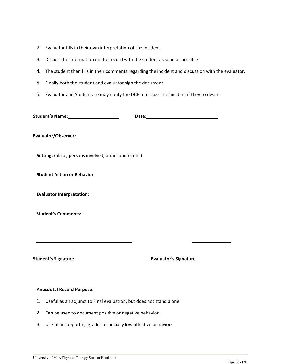| 2. Evaluator fills in their own interpretation of the incident. |  |
|-----------------------------------------------------------------|--|
|-----------------------------------------------------------------|--|

- 3. Discuss the information on the record with the student as soon as possible.
- 4. The student then fills in their comments regarding the incident and discussion with the evaluator.
- 5. Finally both the student and evaluator sign the document
- 6. Evaluator and Student are may notify the DCE to discuss the incident if they so desire.

| Setting: (place, persons involved, atmosphere, etc.) |                              |
|------------------------------------------------------|------------------------------|
| <b>Student Action or Behavior:</b>                   |                              |
| <b>Evaluator Interpretation:</b>                     |                              |
| <b>Student's Comments:</b>                           |                              |
|                                                      |                              |
| <b>Student's Signature</b>                           | <b>Evaluator's Signature</b> |

## **Anecdotal Record Purpose:**

- 1. Useful as an adjunct to Final evaluation, but does not stand alone
- 2. Can be used to document positive or negative behavior.
- 3. Useful in supporting grades, especially low affective behaviors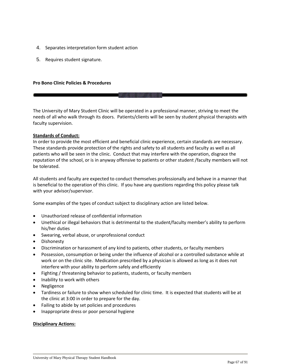- 4. Separates interpretation form student action
- 5. Requires student signature.

#### **Pro Bono Clinic Policies & Procedures**

The University of Mary Student Clinic will be operated in a professional manner, striving to meet the needs of all who walk through its doors. Patients/clients will be seen by student physical therapists with faculty supervision.

#### **Standards of Conduct:**

In order to provide the most efficient and beneficial clinic experience, certain standards are necessary. These standards provide protection of the rights and safety to all students and faculty as well as all patients who will be seen in the clinic. Conduct that may interfere with the operation, disgrace the reputation of the school, or is in anyway offensive to patients or other student /faculty members will not be tolerated.

All students and faculty are expected to conduct themselves professionally and behave in a manner that is beneficial to the operation of this clinic. If you have any questions regarding this policy please talk with your advisor/supervisor.

Some examples of the types of conduct subject to disciplinary action are listed below.

- Unauthorized release of confidential information
- Unethical or illegal behaviors that is detrimental to the student/faculty member's ability to perform his/her duties
- Swearing, verbal abuse, or unprofessional conduct
- Dishonesty
- Discrimination or harassment of any kind to patients, other students, or faculty members
- Possession, consumption or being under the influence of alcohol or a controlled substance while at work or on the clinic site. Medication prescribed by a physician is allowed as long as it does not interfere with your ability to perform safely and efficiently
- Fighting / threatening behavior to patients, students, or faculty members
- Inability to work with others
- Negligence
- Tardiness or failure to show when scheduled for clinic time. It is expected that students will be at the clinic at 3:00 in order to prepare for the day.
- Failing to abide by set policies and procedures
- Inappropriate dress or poor personal hygiene

#### **Disciplinary Actions:**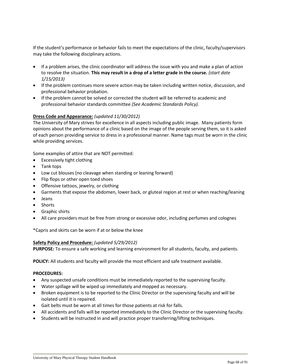If the student's performance or behavior fails to meet the expectations of the clinic, faculty/supervisors may take the following disciplinary actions.

- If a problem arises, the clinic coordinator will address the issue with you and make a plan of action to resolve the situation. **This may result in a drop of a letter grade in the course.** *(start date 1/15/2013)*
- If the problem continues more severe action may be taken including written notice, discussion, and professional behavior probation.
- If the problem cannot be solved or corrected the student will be referred to academic and professional behavior standards committee *(See Academic Standards Policy).*

### **Dress Code and Appearance:** *(updated 11/30/2012)*

The University of Mary strives for excellence in all aspects including public image. Many patients form opinions about the performance of a clinic based on the image of the people serving them, so it is asked of each person providing service to dress in a professional manner. Name tags must be worn in the clinic while providing services.

Some examples of attire that are NOT permitted:

- Excessively tight clothing
- Tank tops
- Low cut blouses (no cleavage when standing or leaning forward)
- Flip flops or other open toed shoes
- Offensive tattoos, jewelry, or clothing
- Garments that expose the abdomen, lower back, or gluteal region at rest or when reaching/leaning
- Jeans
- Shorts
- Graphic shirts
- All care providers must be free from strong or excessive odor, including perfumes and colognes

\*Capris and skirts can be worn if at or below the knee

#### **Safety Policy and Procedure:** *(updated 5/29/2012)*

**PURPOSE:** To ensure a safe working and learning environment for all students, faculty, and patients.

**POLICY:** All students and faculty will provide the most efficient and safe treatment available.

#### **PROCEDURES:**

- Any suspected unsafe conditions must be immediately reported to the supervising faculty.
- Water spillage will be wiped up immediately and mopped as necessary.
- Broken equipment is to be reported to the Clinic Director or the supervising faculty and will be isolated until it is repaired.
- Gait belts must be worn at all times for those patients at risk for falls.
- All accidents and falls will be reported immediately to the Clinic Director or the supervising faculty.
- Students will be instructed in and will practice proper transferring/lifting techniques.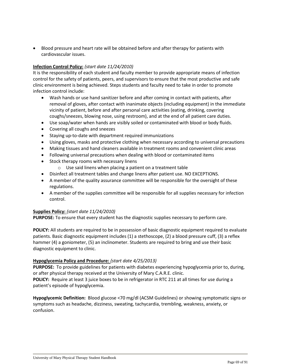• Blood pressure and heart rate will be obtained before and after therapy for patients with cardiovascular issues.

## **Infection Control Policy:** *(start date 11/24/2010)*

It is the responsibility of each student and faculty member to provide appropriate means of infection control for the safety of patients, peers, and supervisors to ensure that the most productive and safe clinic environment is being achieved. Steps students and faculty need to take in order to promote infection control include:

- Wash hands or use hand sanitizer before and after coming in contact with patients, after removal of gloves, after contact with inanimate objects (including equipment) in the immediate vicinity of patient, before and after personal care activities (eating, drinking, covering coughs/sneezes, blowing nose, using restroom), and at the end of all patient care duties.
- Use soap/water when hands are visibly soiled or contaminated with blood or body fluids.
- Covering all coughs and sneezes
- Staying up-to-date with department required immunizations
- Using gloves, masks and protective clothing when necessary according to universal precautions
- Making tissues and hand cleaners available in treatment rooms and convenient clinic areas
- Following universal precautions when dealing with blood or contaminated items
- Stock therapy rooms with necessary linens
	- o Use said linens when placing a patient on a treatment table
- Disinfect all treatment tables and change linens after patient use. NO EXCEPTIONS.
- A member of the quality assurance committee will be responsible for the oversight of these regulations.
- A member of the supplies committee will be responsible for all supplies necessary for infection control.

### **Supplies Policy:** *(start date 11/24/2010)*

**PURPOSE:** To ensure that every student has the diagnostic supplies necessary to perform care.

**POLICY:** All students are required to be in possession of basic diagnostic equipment required to evaluate patients. Basic diagnostic equipment includes (1) a stethoscope, (2) a blood pressure cuff, (3) a reflex hammer (4) a goniometer, (5) an inclinometer. Students are required to bring and use their basic diagnostic equipment to clinic.

### **Hypoglycemia Policy and Procedure:** *(start date 4/25/2013)*

**PURPOSE:** To provide guidelines for patients with diabetes experiencing hypoglycemia prior to, during, or after physical therapy received at the University of Mary C.A.R.E. clinic. **POLICY:** Require at least 3 juice boxes to be in refrigerator in RTC 211 at all times for use during a patient's episode of hypoglycemia.

**Hypoglycemic Definition:** Blood glucose <70 mg/dl (ACSM Guidelines) or showing symptomatic signs or symptoms such as headache, dizziness, sweating, tachycardia, trembling, weakness, anxiety, or confusion.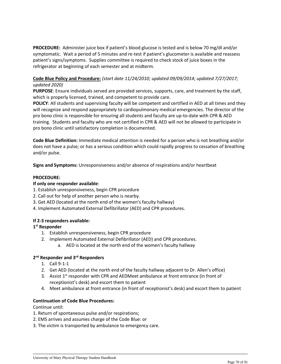**PROCEDURE:** Administer juice box if patient's blood glucose is tested and is below 70 mg/dl and/or symptomatic. Wait a period of 5 minutes and re-test if patient's glucometer is available and reassess patient's signs/symptoms. Supplies committee is required to check stock of juice boxes in the refrigerator at beginning of each semester and at midterm.

## **Code Blue Policy and Procedure:** *(start date 11/24/2010; updated 09/09/2014; updated 7/27/2017; updated 2020)*

**PURPOSE**: Ensure individuals served are provided services, supports, care, and treatment by the staff, which is properly licensed, trained, and competent to provide care.

**POLICY**: All students and supervising faculty will be competent and certified in AED at all times and they will recognize and respond appropriately to cardiopulmonary medical emergencies. The director of the pro bono clinic is responsible for ensuring all students and faculty are up-to-date with CPR & AED training. Students and faculty who are not certified in CPR & AED will not be allowed to participate in pro bono clinic until satisfactory completion is documented.

**Code Blue Definition:** Immediate medical attention is needed for a person who is not breathing and/or does not have a pulse; or has a serious condition which could rapidly progress to cessation of breathing and/or pulse.

**Signs and Symptoms:** Unresponsiveness and/or absence of respirations and/or heartbeat

#### **PROCEDURE:**

#### **If only one responder available**:

- 1. Establish unresponsiveness, begin CPR procedure
- 2. Call out for help of another person who is nearby.
- 3. Get AED (located at the north end of the women's faculty hallway)
- 4. Implement Automated External Defibrillator (AED) and CPR procedures.

#### **If 2-3 responders available:**

### **1 st Responder**

- 1. Establish unresponsiveness, begin CPR procedure
- 2. Implement Automated External Defibrillator (AED) and CPR procedures.
	- a. AED is located at the north end of the women's faculty hallway

### **2 nd Responder and 3rd Responders**

- 1. Call 9-1-1
- 2. Get AED (located at the north end of the faculty hallway adjacent to Dr. Allen's office)
- 3. Assist  $1<sup>st</sup>$  responder with CPR and AEDMeet ambulance at front entrance (in front of receptionist's desk) and escort them to patient
- 4. Meet ambulance at front entrance (in front of receptionist's desk) and escort them to patient

#### **Continuation of Code Blue Procedures:**

Continue until:

- 1. Return of spontaneous pulse and/or respirations;
- 2. EMS arrives and assumes charge of the Code Blue: or
- 3. The victim is transported by ambulance to emergency care.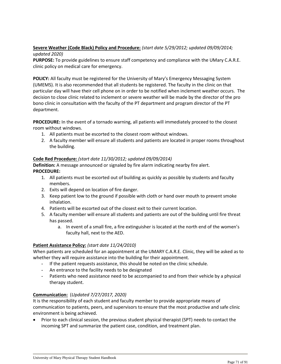## **Severe Weather (Code Black) Policy and Procedure:** *(start date 5/29/2012; updated 09/09/2014; updated 2020)*

**PURPOSE:** To provide guidelines to ensure staff competency and compliance with the UMary C.A.R.E. clinic policy on medical care for emergency.

**POLICY:** All faculty must be registered for the University of Mary's Emergency Messaging System (UMEMS). It is also recommended that all students be registered. The faculty in the clinic on that particular day will have their cell phone on in order to be notified when inclement weather occurs. The decision to close clinic related to inclement or severe weather will be made by the director of the pro bono clinic in consultation with the faculty of the PT department and program director of the PT department.

**PROCEDURE:** In the event of a tornado warning, all patients will immediately proceed to the closest room without windows.

- 1. All patients must be escorted to the closest room without windows.
- 2. A faculty member will ensure all students and patients are located in proper rooms throughout the building.

## **Code Red Procedure:** *(start date 11/30/2012; updated 09/09/2014)*

**Definition:** A message announced or signaled by fire alarm indicating nearby fire alert. **PROCEDURE:**

- 1. All patients must be escorted out of building as quickly as possible by students and faculty members.
- 2. Exits will depend on location of fire danger.
- 3. Keep patient low to the ground if possible with cloth or hand over mouth to prevent smoke inhalation.
- 4. Patients will be escorted out of the closest exit to their current location.
- 5. A faculty member will ensure all students and patients are out of the building until fire threat has passed.
	- a. In event of a small fire, a fire extinguisher is located at the north end of the women's faculty hall, next to the AED.

### **Patient Assistance Policy:** *(start date 11/24/2010)*

When patients are scheduled for an appointment at the UMARY C.A.R.E. Clinic, they will be asked as to whether they will require assistance into the building for their appointment.

- If the patient requests assistance, this should be noted on the clinic schedule.
- An entrance to the facility needs to be designated
- Patients who need assistance need to be accompanied to and from their vehicle by a physical therapy student.

## **Communication:** (*Updated 7/27/2017, 2020)*

It is the responsibility of each student and faculty member to provide appropriate means of communication to patients, peers, and supervisors to ensure that the most productive and safe clinic environment is being achieved.

• Prior to each clinical session, the previous student physical therapist (SPT) needs to contact the incoming SPT and summarize the patient case, condition, and treatment plan.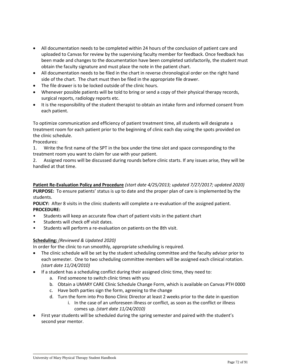- All documentation needs to be completed within 24 hours of the conclusion of patient care and uploaded to Canvas for review by the supervising faculty member for feedback. Once feedback has been made and changes to the documentation have been completed satisfactorily, the student must obtain the faculty signature and must place the note in the patient chart.
- All documentation needs to be filed in the chart in reverse chronological order on the right hand side of the chart. The chart must then be filed in the appropriate file drawer.
- The file drawer is to be locked outside of the clinic hours.
- Whenever possible patients will be told to bring or send a copy of their physical therapy records, surgical reports, radiology reports etc.
- It is the responsibility of the student therapist to obtain an intake form and informed consent from each patient.

To optimize communication and efficiency of patient treatment time, all students will designate a treatment room for each patient prior to the beginning of clinic each day using the spots provided on the clinic schedule.

Procedures:

1. Write the first name of the SPT in the box under the time slot and space corresponding to the treatment room you want to claim for use with your patient.

2. Assigned rooms will be discussed during rounds before clinic starts. If any issues arise, they will be handled at that time.

**Patient Re-Evaluation Policy and Procedure** *(start date 4/25/2013; updated 7/27/2017; updated 2020)* **PURPOSE:** To ensure patients' status is up to date and the proper plan of care is implemented by the students.

**POLICY:** After 8 visits in the clinic students will complete a re-evaluation of the assigned patient. **PROCEDURE:**

- Students will keep an accurate flow chart of patient visits in the patient chart
- Students will check off visit dates.
- Students will perform a re-evaluation on patients on the 8th visit.

## **Scheduling:** *(Reviewed & Updated 2020)*

In order for the clinic to run smoothly, appropriate scheduling is required.

- The clinic schedule will be set by the student scheduling committee and the faculty advisor prior to each semester. One to two scheduling committee members will be assigned each clinical rotation. *(start date 11/24/2010)*
- If a student has a scheduling conflict during their assigned clinic time, they need to:
	- a. Find someone to switch clinic times with you
	- b. Obtain a UMARY CARE Clinic Schedule Change Form, which is available on Canvas PTH 0000
	- c. Have both parties sign the form, agreeing to the change
	- d. Turn the form into Pro Bono Clinic Director at least 2 weeks prior to the date in question
		- i. In the case of an unforeseen illness or conflict, as soon as the conflict or illness comes up. *(start date 11/24/2010)*
- First year students will be scheduled during the spring semester and paired with the student's second year mentor.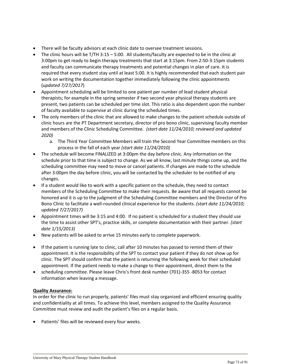- There will be faculty advisors at each clinic date to oversee treatment sessions.
- The clinic hours will be  $T/TH$  3:15 5:00. All students/faculty are expected to be in the clinic at 3:00pm to get ready to begin therapy treatments that start at 3:15pm. From 2:50-3:15pm students and faculty can communicate therapy treatments and potential changes in plan of care. It is required that every student stay until at least 5:00. It is highly recommended that each student pair work on writing the documentation together immediately following the clinic appointments (*updated 7/27/2017*)
- Appointment scheduling will be limited to one patient per number of lead student physical therapists; for example in the spring semester if two second year physical therapy students are present, two patients can be scheduled per time slot. This ratio is also dependent upon the number of faculty available to supervise at clinic during the scheduled times.
- The only members of the clinic that are allowed to make changes to the patient schedule outside of clinic hours are the PT Department secretary, director of pro bono clinic, supervising faculty member and members of the Clinic Scheduling Committee. *(start date 11/24/2010; reviewed and updated 2020)*
	- a. The Third Year Committee Members will train the Second Year Committee members on this process in the fall of each year *(start date 11/24/2010)*
- The schedule will become FINALIZED at 3:00pm the day before clinic. Any information on the schedule prior to that time is subject to change. As we all know, last minute things come up, and the scheduling committee may need to move or cancel patients. If changes are made to the schedule after 3:00pm the day before clinic, you will be contacted by the scheduler to be notified of any changes.
- If a student would like to work with a specific patient on the schedule, they need to contact members of the Scheduling Committee to make their requests. Be aware that all requests cannot be honored and it is up to the judgment of the Scheduling Committee members and the Director of Pro Bono Clinic to facilitate a well-rounded clinical experience for the students. *(start date 11/24/2010; updated 7/27/2017)*
- Appointment times will be 3:15 and 4:00. If no patient is scheduled for a student they should use the time to assist other SPT's, practice skills, or complete documentation with their partner. *(start date 1/15/2013)*
- New patients will be asked to arrive 15 minutes early to complete paperwork.
- If the patient is running late to clinic, call after 10 minutes has passed to remind them of their appointment. It is the responsibility of the SPT to contact your patient if they do not show up for clinic. The SPT should confirm that the patient is returning the following week for their scheduled appointment. If the patient needs to make a change to their appointment, direct them to the
- scheduling committee. Please leave Chris's front desk number (701)-355 -8053 for contact information when leaving a message.

## **Quality Assurance:**

In order for the clinic to run properly, patients' files must stay organized and efficient ensuring quality and confidentiality at all times. To achieve this level, members assigned to the Quality Assurance Committee must review and audit the patient's files on a regular basis.

• Patients' files will be reviewed every four weeks.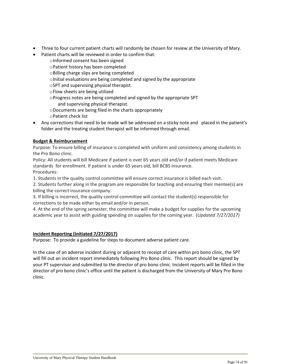- Three to four current patient charts will randomly be chosen for review at the University of Mary.
- Patient charts will be reviewed in order to confirm that:
	- oInformed consent has been signed oPatient history has been completed oBilling charge slips are being completed oInitial evaluations are being completed and signed by the appropriate oSPT and supervising physical therapist. oFlow sheets are being utilized oProgress notes are being completed and signed by the appropriate SPT and supervising physical therapist. oDocuments are being filed in the charts appropriately oPatient check list
- Any corrections that need to be made will be addressed on a sticky note and placed in the patient's folder and the treating student therapist will be informed through email.

## **Budget & Reimbursement**

Purpose: To ensure billing of insurance is completed with uniform and consistency among students in the Pro Bono clinic.

Policy: All students will bill Medicare if patient is over 65 years old and/or if patient meets Medicare standards for enrollment. If patient is under 65 years old, bill BCBS insurance. Procedures:

1. Students in the quality control committee will ensure correct insurance is billed each visit.

2. Students further along in the program are responsible for teaching and ensuring their mentee(s) are billing the correct insurance company.

3. If billing is incorrect, the quality control committee will contact the student(s) responsible for corrections to be made either by email and/or in person.

4. At the end of the spring semester, the committee will make a budget for supplies for the upcoming academic year to assist with guiding spending on supplies for the coming year. (*Updated 7/27/2017)* 

## **Incident Reporting (Initiated 7/27/2017)**

Purpose: To provide a guideline for steps to document adverse patient care.

In the case of an adverse incident during or adjacent to receipt of care within pro bono clinic, the SPT will fill out an incident report immediately following Pro Bono clinic. This report should be signed by your PT supervisor and submitted to the director of pro bono clinic. Incident reports will be filled in the director of pro bono clinic's office until the patient is discharged from the University of Mary Pro Bono clinic.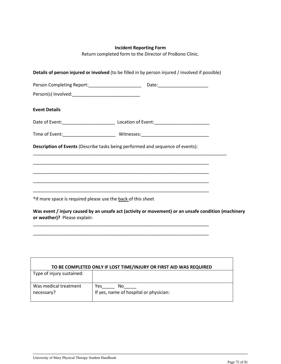## **Incident Reporting Form**

Return completed form to the Director of ProBono Clinic.

| <b>Event Details</b>         |                                                                                                                     |  |
|------------------------------|---------------------------------------------------------------------------------------------------------------------|--|
|                              |                                                                                                                     |  |
|                              |                                                                                                                     |  |
|                              | Description of Events (Describe tasks being performed and sequence of events):                                      |  |
|                              |                                                                                                                     |  |
|                              |                                                                                                                     |  |
|                              | <u> 1989 - Johann John Stone, menydd y cyfeiriad y gynydd y gynydd y gynydd y gynydd y gynydd y gynydd y gynydd</u> |  |
|                              | *If more space is required please use the back of this sheet                                                        |  |
|                              | Was event / injury caused by an unsafe act (activity or movement) or an unsafe condition (machinery                 |  |
| or weather)? Please explain: |                                                                                                                     |  |
|                              | <u> 1989 - Johann Stoff, amerikansk politiker (d. 1989)</u>                                                         |  |

| TO BE COMPLETED ONLY IF LOST TIME/INJURY OR FIRST AID WAS REQUIRED |                                        |  |
|--------------------------------------------------------------------|----------------------------------------|--|
| Type of injury sustained:                                          |                                        |  |
|                                                                    |                                        |  |
| Was medical treatment                                              | Yes<br>No                              |  |
| necessary?                                                         | If yes, name of hospital or physician: |  |
|                                                                    |                                        |  |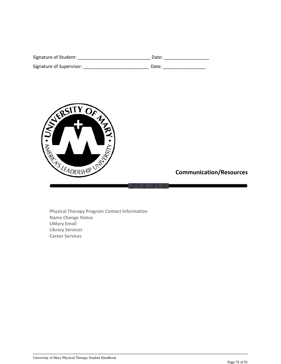| Signature of Student:    | Date: |
|--------------------------|-------|
| Signature of Supervisor: | Date: |



 **Communication/Resources**

**Physical Therapy Program Contact Information Name Change Status UMary Email Library Services Career Services**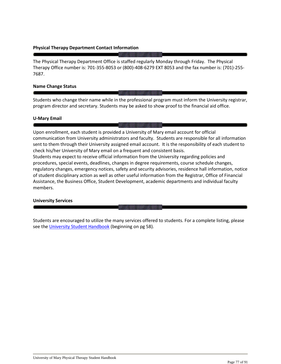## **Physical Therapy Department Contact Information**

The Physical Therapy Department Office is staffed regularly Monday through Friday. The Physical Therapy Office number is: 701-355-8053 or (800)-408-6279 EXT 8053 and the fax number is: (701)-255- 7687.

#### **Name Change Status**

Students who change their name while in the professional program must inform the University registrar, program director and secretary. Students may be asked to show proof to the financial aid office.

#### **U-Mary Email**

Upon enrollment, each student is provided a University of Mary email account for official communication from University administrators and faculty. Students are responsible for all information sent to them through their University assigned email account. It is the responsibility of each student to check his/her University of Mary email on a frequent and consistent basis. Students may expect to receive official information from the University regarding policies and procedures, special events, deadlines, changes in degree requirements, course schedule changes, regulatory changes, emergency notices, safety and security advisories, residence hall information, notice of student disciplinary action as well as other useful information from the Registrar, Office of Financial Assistance, the Business Office, Student Development, academic departments and individual faculty members.

## **University Services**

Students are encouraged to utilize the many services offered to students. For a complete listing, please see the [University Student Handbook](https://www.umary.edu/_resources/pdfs/Student-Handbook-2018.pdf) (beginning on pg 58).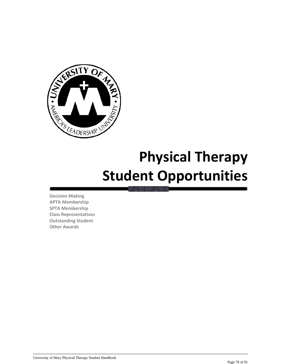

# **Physical Therapy Student Opportunities**

**Decision Making APTA Membership SPTA Membership Class Representatives Outstanding Student Other Awards**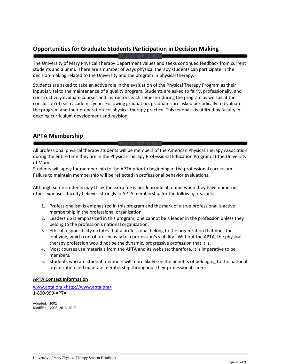## **Opportunities for Graduate Students Participation in Decision Making**

The University of Mary Physical Therapy Department values and seeks continued feedback from current students and alumni. There are a number of ways physical therapy students can participate in the decision-making related to the University and the program in physical therapy.

Students are asked to take an active role in the evaluation of the Physical Therapy Program as their input is vital to the maintenance of a quality program. Students are asked to fairly, professionally, and constructively evaluate courses and instructors each semester during the program as well as at the conclusion of each academic year. Following graduation, graduates are asked periodically to evaluate the program and their preparation for physical therapy practice. This feedback is utilized by faculty in ongoing curriculum development and revision.

## **APTA Membership**

All professional physical therapy students will be members of the American Physical Therapy Association during the entire time they are in the Physical Therapy Professional Education Program at the University of Mary.

Students will apply for membership to the APTA prior to beginning of the professional curriculum. Failure to maintain membership will be reflected in professional behavior evaluations.

Although some students may think the extra fee is burdensome at a time when they have numerous other expenses, faculty believes strongly in APTA membership for the following reasons:

- 1. Professionalism is emphasized in this program and the mark of a true professional is active membership in the professional organization.
- 2. Leadership is emphasized in this program; one cannot be a leader in the profession unless they belong to the profession's national organization.
- 3. Ethical responsibility dictates that a professional belong to the organization that does the lobbying, which contributes heavily to a profession's viability. Without the APTA, the physical therapy profession would not be the dynamic, progressive profession that it is.
- 4. Most courses use materials from the APTA and its website; therefore, it is imperative to be members.
- 5. Students who are student members will more likely see the benefits of belonging to the national organization and maintain membership throughout their professional careers.

## **APTA Contact Information**

[www.apta.](http://www.apta/)org <http://www.apta.org> 1-800-999-APTA

Adopted: 2002 Modified: 2003, 2013, 2017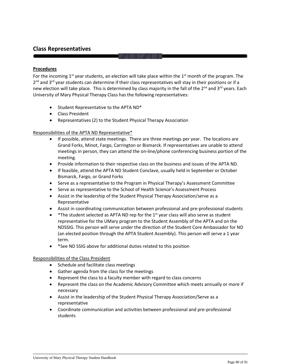## **Class Representatives**

## **Procedures**

For the incoming  $1<sup>st</sup>$  year students, an election will take place within the  $1<sup>st</sup>$  month of the program. The 2<sup>nd</sup> and 3<sup>rd</sup> year students can determine if their class representatives will stay in their positions or if a new election will take place. This is determined by class majority in the fall of the  $2^{nd}$  and  $3^{rd}$  years. Each University of Mary Physical Therapy Class has the following representatives:

- Student Representative to the APTA ND\*
- Class President
- Representatives (2) to the Student Physical Therapy Association

## Responsibilities of the APTA ND Representative\*

- If possible, attend state meetings. There are three meetings per year. The locations are Grand Forks, Minot, Fargo, Carrington or Bismarck. If representatives are unable to attend meetings in person, they can attend the on-line/phone conferencing business portion of the meeting.
- Provide information to their respective class on the business and issues of the APTA ND.
- If feasible, attend the APTA ND Student Conclave, usually held in September or October Bismarck, Fargo, or Grand Forks
- Serve as a representative to the Program in Physical Therapy's Assessment Committee
- Serve as representative to the School of Health Science's Assessment Process
- Assist in the leadership of the Student Physical Therapy Association/serve as a Representative
- Assist in coordinating communication between professional and pre-professional students
- \* The student selected as APTA ND rep for the  $1<sup>st</sup>$  year class will also serve as student representative for the UMary program to the Student Assembly of the APTA and on the NDSSIG. This person will serve under the direction of the Student Core Ambassador for ND (an elected position through the APTA Student Assembly). This person will serve a 1 year term.
- \*See ND SSIG above for additional duties related to this position

## Responsibilities of the Class President

- Schedule and facilitate class meetings
- Gather agenda from the class for the meetings
- Represent the class to a faculty member with regard to class concerns
- Represent the class on the Academic Advisory Committee which meets annually or more if necessary
- Assist in the leadership of the Student Physical Therapy Association/Serve as a representative
- Coordinate communication and activities between professional and pre-professional students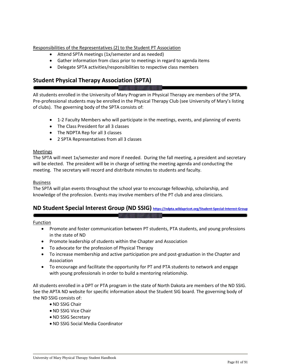Responsibilities of the Representatives (2) to the Student PT Association

- Attend SPTA meetings (1x/semester and as needed)
- Gather information from class prior to meetings in regard to agenda items
- Delegate SPTA activities/responsibilities to respective class members

## **Student Physical Therapy Association (SPTA)**

All students enrolled in the University of Mary Program in Physical Therapy are members of the SPTA. Pre-professional students may be enrolled in the Physical Therapy Club (see University of Mary's listing of clubs). The governing body of the SPTA consists of:

- 1-2 Faculty Members who will participate in the meetings, events, and planning of events
- The Class President for all 3 classes
- The NDPTA Rep for all 3 classes
- 2 SPTA Representatives from all 3 classes

## Meetings

The SPTA will meet 1x/semester and more if needed. During the fall meeting, a president and secretary will be elected. The president will be in charge of setting the meeting agenda and conducting the meeting. The secretary will record and distribute minutes to students and faculty.

## Business

The SPTA will plan events throughout the school year to encourage fellowship, scholarship, and knowledge of the profession. Events may involve members of the PT club and area clinicians.

## **ND Student Special Interest Group (ND SSIG) <https://ndpta.wildapricot.org/Student-Special-Interest-Group>**

## Function

- Promote and foster communication between PT students, PTA students, and young professions in the state of ND
- Promote leadership of students within the Chapter and Association
- To advocate for the profession of Physical Therapy
- To increase membership and active participation pre and post-graduation in the Chapter and Association
- To encourage and facilitate the opportunity for PT and PTA students to network and engage with young professionals in order to build a mentoring relationship.

All students enrolled in a DPT or PTA program in the state of North Dakota are members of the ND SSIG. See the APTA ND website for specific information about the Student SIG board. The governing body of the ND SSIG consists of:

- ND SSIG Chair
- ND SSIG Vice Chair
- ND SSIG Secretary
- ND SSIG Social Media Coordinator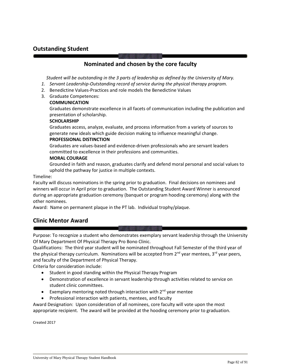## **Outstanding Student**

## **Nominated and chosen by the core faculty**

*Student will be outstanding in the 3 parts of leadership as defined by the University of Mary.*

- *1. Servant Leadership-Outstanding record of service during the physical therapy program.*
- 2. Benedictine Values-Practices and role models the Benedictine Values
- 3. Graduate Competences:

#### **COMMUNICATION**

Graduates demonstrate excellence in all facets of communication including the publication and presentation of scholarship.

#### **SCHOLARSHIP**

Graduates access, analyze, evaluate, and process information from a variety of sources to generate new ideals which guide decision making to influence meaningful change.

#### **PROFESSIONAL DISTINCTION**

Graduates are values-based and evidence-driven professionals who are servant leaders committed to excellence in their professions and communities.

#### **MORAL COURAGE**

Grounded in faith and reason, graduates clarify and defend moral personal and social values to uphold the pathway for justice in multiple contexts.

#### Timeline:

Faculty will discuss nominations in the spring prior to graduation. Final decisions on nominees and winners will occur in April prior to graduation. The Outstanding Student Award Winner is announced during an appropriate graduation ceremony (banquet or program hooding ceremony) along with the other nominees.

Award: Name on permanent plaque in the PT lab. Individual trophy/plaque.

## **Clinic Mentor Award**

Purpose: To recognize a student who demonstrates exemplary servant leadership through the University Of Mary Department Of Physical Therapy Pro Bono Clinic.

Qualifications: The third year student will be nominated throughout Fall Semester of the third year of the physical therapy curriculum. Nominations will be accepted from  $2^{nd}$  year mentees,  $3^{rd}$  year peers, and faculty of the Department of Physical Therapy.

Criteria for consideration include:

- Student in good standing within the Physical Therapy Program
- Demonstration of excellence in servant leadership through activities related to service on student clinic committees.
- Exemplary mentoring noted through interaction with  $2^{nd}$  year mentee
- Professional interaction with patients, mentees, and faculty

Award Designation: Upon consideration of all nominees, core faculty will vote upon the most appropriate recipient. The award will be provided at the hooding ceremony prior to graduation.

Created 2017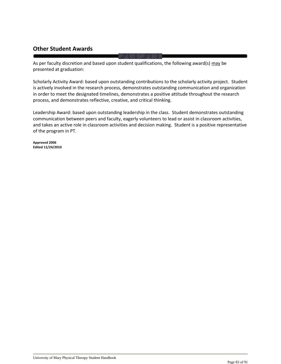## **Other Student Awards**

As per faculty discretion and based upon student qualifications, the following award(s) may be presented at graduation:

Scholarly Activity Award: based upon outstanding contributions to the scholarly activity project. Student is actively involved in the research process, demonstrates outstanding communication and organization in order to meet the designated timelines, demonstrates a positive attitude throughout the research process, and demonstrates reflective, creative, and critical thinking.

Leadership Award: based upon outstanding leadership in the class. Student demonstrates outstanding communication between peers and faculty, eagerly volunteers to lead or assist in classroom activities, and takes an active role in classroom activities and decision making. Student is a positive representative of the program in PT.

**Approved 2006 Edited 11/24/2010**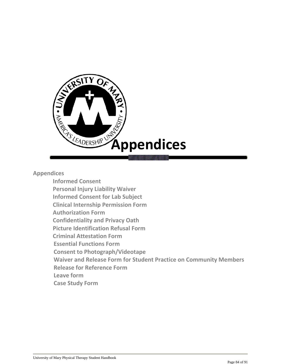

**Appendices** 

**Informed Consent Personal Injury Liability Waiver Informed Consent for Lab Subject Clinical Internship Permission Form Authorization Form Confidentiality and Privacy Oath Picture Identification Refusal Form Criminal Attestation Form Essential Functions Form Consent to Photograph/Videotape Waiver and Release Form for Student Practice on Community Members Release for Reference Form Leave form Case Study Form**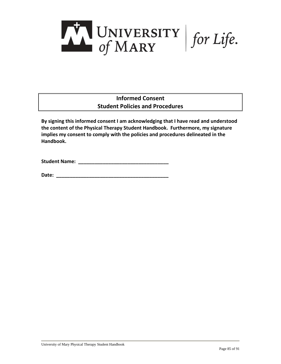

## **Informed Consent Student Policies and Procedures**

**By signing this informed consent I am acknowledging that I have read and understood the content of the Physical Therapy Student Handbook. Furthermore, my signature implies my consent to comply with the policies and procedures delineated in the Handbook.**

**Student Name: \_\_\_\_\_\_\_\_\_\_\_\_\_\_\_\_\_\_\_\_\_\_\_\_\_\_\_\_\_\_\_\_\_**

**Date: \_\_\_\_\_\_\_\_\_\_\_\_\_\_\_\_\_\_\_\_\_\_\_\_\_\_\_\_\_\_\_\_\_\_\_\_\_\_\_\_\_**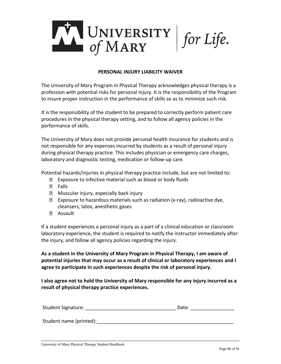

## **PERSONAL INJURY LIABILITY WAIVER**

The University of Mary Program in Physical Therapy acknowledges physical therapy is a profession with potential risks for personal injury. It is the responsibility of the Program to insure proper instruction in the performance of skills so as to minimize such risk.

It is the responsibility of the student to be prepared to correctly perform patient care procedures in the physical therapy setting, and to follow all agency policies in the performance of skills.

The University of Mary does not provide personal health insurance for students and is not responsible for any expenses incurred by students as a result of personal injury during physical therapy practice. This includes physician or emergency care charges, laboratory and diagnostic testing, medication or follow-up care.

Potential hazards/injuries in physical therapy practice include, but are not limited to:

- **Exposure to infective material such as blood or body fluids**
- **D** Falls
- **Muscular injury, especially back injury**
- $\boxtimes$  Exposure to hazardous materials such as radiation (x-ray), radioactive dye, cleansers, latex, anesthetic gases
- Assault

If a student experiences a personal injury as a part of a clinical education or classroom laboratory experience, the student is required to notify the instructor immediately after the injury, and follow all agency policies regarding the injury.

**As a student in the University of Mary Program in Physical Therapy, I am aware of potential injuries that may occur as a result of clinical or laboratory experiences and I agree to participate in such experiences despite the risk of personal injury.**

**I also agree not to hold the University of Mary responsible for any injury incurred as a result of physical therapy practice experiences.**

| <b>Student Signature:</b> | Date: |
|---------------------------|-------|
|                           |       |
| Student name (printed):   |       |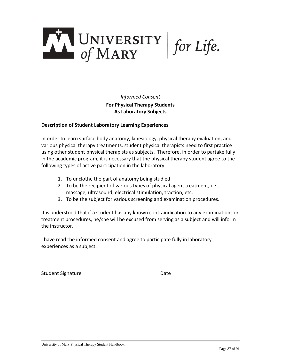

*Informed Consent* **For Physical Therapy Students As Laboratory Subjects**

## **Description of Student Laboratory Learning Experiences**

In order to learn surface body anatomy, kinesiology, physical therapy evaluation, and various physical therapy treatments, student physical therapists need to first practice using other student physical therapists as subjects. Therefore, in order to partake fully in the academic program, it is necessary that the physical therapy student agree to the following types of active participation in the laboratory.

- 1. To unclothe the part of anatomy being studied
- 2. To be the recipient of various types of physical agent treatment, i.e., massage, ultrasound, electrical stimulation, traction, etc.
- 3. To be the subject for various screening and examination procedures.

It is understood that if a student has any known contraindication to any examinations or treatment procedures, he/she will be excused from serving as a subject and will inform the instructor.

I have read the informed consent and agree to participate fully in laboratory experiences as a subject.

\_\_\_\_\_\_\_\_\_\_\_\_\_\_\_\_\_\_\_\_\_\_\_\_\_\_\_\_\_\_\_ \_\_\_\_\_\_\_\_\_\_\_\_\_\_\_\_\_\_\_\_\_\_\_\_\_\_\_\_\_\_\_

Student Signature **Date**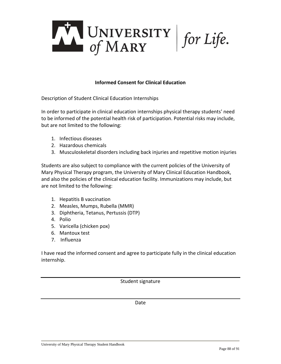

## **Informed Consent for Clinical Education**

Description of Student Clinical Education Internships

In order to participate in clinical education internships physical therapy students' need to be informed of the potential health risk of participation. Potential risks may include, but are not limited to the following:

- 1. Infectious diseases
- 2. Hazardous chemicals
- 3. Musculoskeletal disorders including back injuries and repetitive motion injuries

Students are also subject to compliance with the current policies of the University of Mary Physical Therapy program, the University of Mary Clinical Education Handbook, and also the policies of the clinical education facility. Immunizations may include, but are not limited to the following:

- 1. Hepatitis B vaccination
- 2. Measles, Mumps, Rubella (MMR)
- 3. Diphtheria, Tetanus, Pertussis (DTP)
- 4. Polio
- 5. Varicella (chicken pox)
- 6. Mantoux test
- 7. Influenza

I have read the informed consent and agree to participate fully in the clinical education internship.

Student signature

Date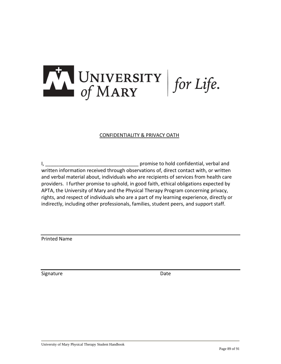

## CONFIDENTIALITY & PRIVACY OATH

I, \_\_\_\_\_\_\_\_\_\_\_\_\_\_\_\_\_\_\_\_\_\_\_\_\_\_\_\_\_\_\_\_\_\_ promise to hold confidential, verbal and written information received through observations of, direct contact with, or written and verbal material about, individuals who are recipients of services from health care providers. I further promise to uphold, in good faith, ethical obligations expected by APTA, the University of Mary and the Physical Therapy Program concerning privacy, rights, and respect of individuals who are a part of my learning experience, directly or indirectly, including other professionals, families, student peers, and support staff.

Printed Name

Signature Date Date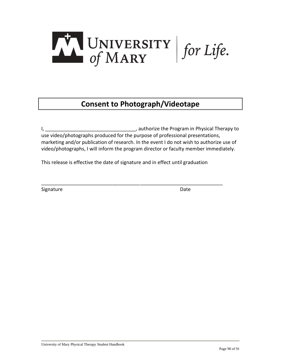

## **Consent to Photograph/Videotape**

I, \_\_\_\_\_\_\_\_\_\_\_\_\_\_\_\_\_\_\_\_\_\_\_\_\_\_\_\_\_\_\_\_\_, authorize the Program in Physical Therapy to use video/photographs produced for the purpose of professional presentations, marketing and/or publication of research. In the event I do not wish to authorize use of video/photographs, I will inform the program director or faculty member immediately.

This release is effective the date of signature and in effect until graduation

\_\_\_\_\_\_\_\_\_\_\_\_\_\_\_\_\_\_\_\_\_\_\_\_\_\_\_\_\_\_\_\_\_\_\_\_\_\_\_\_\_\_\_\_\_\_\_\_\_\_\_\_\_\_\_\_\_\_\_\_\_\_\_\_\_\_

Signature Date Date Communications and Date Date Date